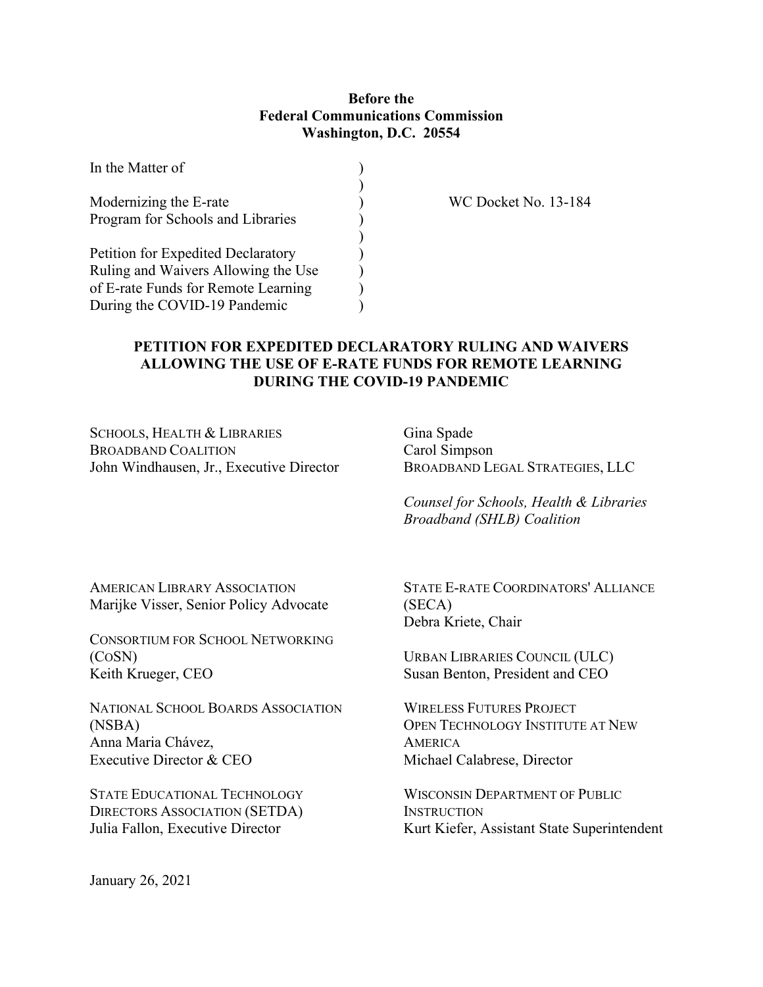## **Before the Federal Communications Commission Washington, D.C. 20554**

| In the Matter of                    |  |
|-------------------------------------|--|
| Modernizing the E-rate              |  |
| Program for Schools and Libraries   |  |
|                                     |  |
| Petition for Expedited Declaratory  |  |
| Ruling and Waivers Allowing the Use |  |
| of E-rate Funds for Remote Learning |  |
| During the COVID-19 Pandemic        |  |

WC Docket No. 13-184

## **PETITION FOR EXPEDITED DECLARATORY RULING AND WAIVERS ALLOWING THE USE OF E-RATE FUNDS FOR REMOTE LEARNING DURING THE COVID-19 PANDEMIC**

SCHOOLS, HEALTH & LIBRARIES BROADBAND COALITION John Windhausen, Jr., Executive Director Gina Spade Carol Simpson BROADBAND LEGAL STRATEGIES, LLC

*Counsel for Schools, Health & Libraries Broadband (SHLB) Coalition*

AMERICAN LIBRARY ASSOCIATION Marijke Visser, Senior Policy Advocate

CONSORTIUM FOR SCHOOL NETWORKING (COSN) Keith Krueger, CEO

NATIONAL SCHOOL BOARDS ASSOCIATION (NSBA) Anna Maria Chávez, Executive Director & CEO

STATE EDUCATIONAL TECHNOLOGY DIRECTORS ASSOCIATION (SETDA) Julia Fallon, Executive Director

STATE E-RATE COORDINATORS' ALLIANCE (SECA) Debra Kriete, Chair

URBAN LIBRARIES COUNCIL (ULC) Susan Benton, President and CEO

WIRELESS FUTURES PROJECT OPEN TECHNOLOGY INSTITUTE AT NEW **AMERICA** Michael Calabrese, Director

WISCONSIN DEPARTMENT OF PUBLIC **INSTRUCTION** Kurt Kiefer, Assistant State Superintendent

January 26, 2021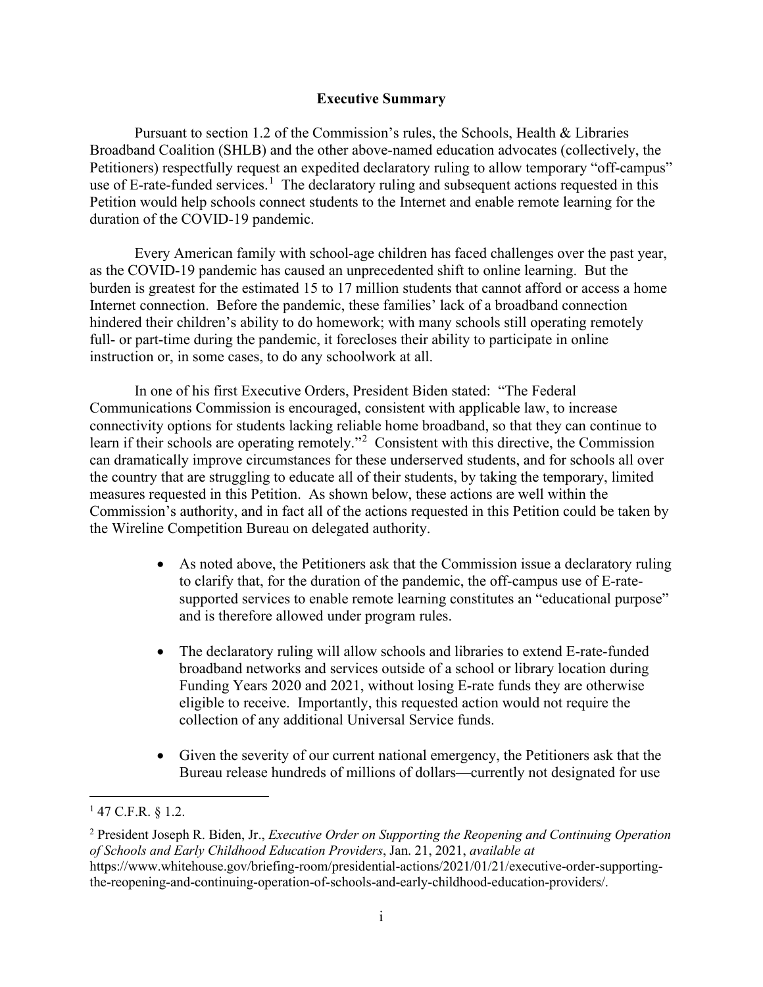#### **Executive Summary**

Pursuant to section 1.2 of the Commission's rules, the Schools, Health & Libraries Broadband Coalition (SHLB) and the other above-named education advocates (collectively, the Petitioners) respectfully request an expedited declaratory ruling to allow temporary "off-campus" use of E-rate-funded services.<sup>[1](#page-1-0)</sup> The declaratory ruling and subsequent actions requested in this Petition would help schools connect students to the Internet and enable remote learning for the duration of the COVID-19 pandemic.

Every American family with school-age children has faced challenges over the past year, as the COVID-19 pandemic has caused an unprecedented shift to online learning. But the burden is greatest for the estimated 15 to 17 million students that cannot afford or access a home Internet connection. Before the pandemic, these families' lack of a broadband connection hindered their children's ability to do homework; with many schools still operating remotely full- or part-time during the pandemic, it forecloses their ability to participate in online instruction or, in some cases, to do any schoolwork at all.

In one of his first Executive Orders, President Biden stated: "The Federal Communications Commission is encouraged, consistent with applicable law, to increase connectivity options for students lacking reliable home broadband, so that they can continue to learn if their schools are operating remotely."[2](#page-1-1) Consistent with this directive, the Commission can dramatically improve circumstances for these underserved students, and for schools all over the country that are struggling to educate all of their students, by taking the temporary, limited measures requested in this Petition. As shown below, these actions are well within the Commission's authority, and in fact all of the actions requested in this Petition could be taken by the Wireline Competition Bureau on delegated authority.

- As noted above, the Petitioners ask that the Commission issue a declaratory ruling to clarify that, for the duration of the pandemic, the off-campus use of E-ratesupported services to enable remote learning constitutes an "educational purpose" and is therefore allowed under program rules.
- The declaratory ruling will allow schools and libraries to extend E-rate-funded broadband networks and services outside of a school or library location during Funding Years 2020 and 2021, without losing E-rate funds they are otherwise eligible to receive. Importantly, this requested action would not require the collection of any additional Universal Service funds.
- Given the severity of our current national emergency, the Petitioners ask that the Bureau release hundreds of millions of dollars—currently not designated for use

<span id="page-1-0"></span> $147$  C.F.R. § 1.2.

<span id="page-1-1"></span><sup>2</sup> President Joseph R. Biden, Jr., *Executive Order on Supporting the Reopening and Continuing Operation of Schools and Early Childhood Education Providers*, Jan. 21, 2021, *available at*  https://www.whitehouse.gov/briefing-room/presidential-actions/2021/01/21/executive-order-supportingthe-reopening-and-continuing-operation-of-schools-and-early-childhood-education-providers/.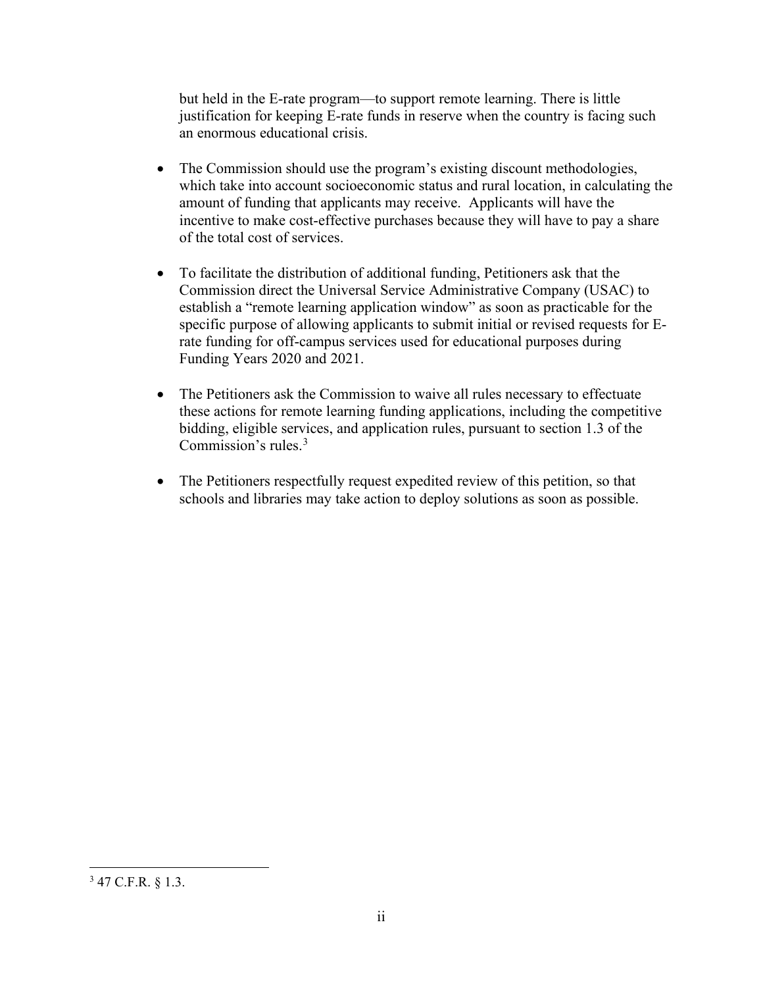but held in the E-rate program—to support remote learning. There is little justification for keeping E-rate funds in reserve when the country is facing such an enormous educational crisis.

- The Commission should use the program's existing discount methodologies, which take into account socioeconomic status and rural location, in calculating the amount of funding that applicants may receive. Applicants will have the incentive to make cost-effective purchases because they will have to pay a share of the total cost of services.
- To facilitate the distribution of additional funding, Petitioners ask that the Commission direct the Universal Service Administrative Company (USAC) to establish a "remote learning application window" as soon as practicable for the specific purpose of allowing applicants to submit initial or revised requests for Erate funding for off-campus services used for educational purposes during Funding Years 2020 and 2021.
- The Petitioners ask the Commission to waive all rules necessary to effectuate these actions for remote learning funding applications, including the competitive bidding, eligible services, and application rules, pursuant to section 1.3 of the Commission's rules. [3](#page-2-0)
- The Petitioners respectfully request expedited review of this petition, so that schools and libraries may take action to deploy solutions as soon as possible.

<span id="page-2-0"></span> $3$  47 C.F.R. § 1.3.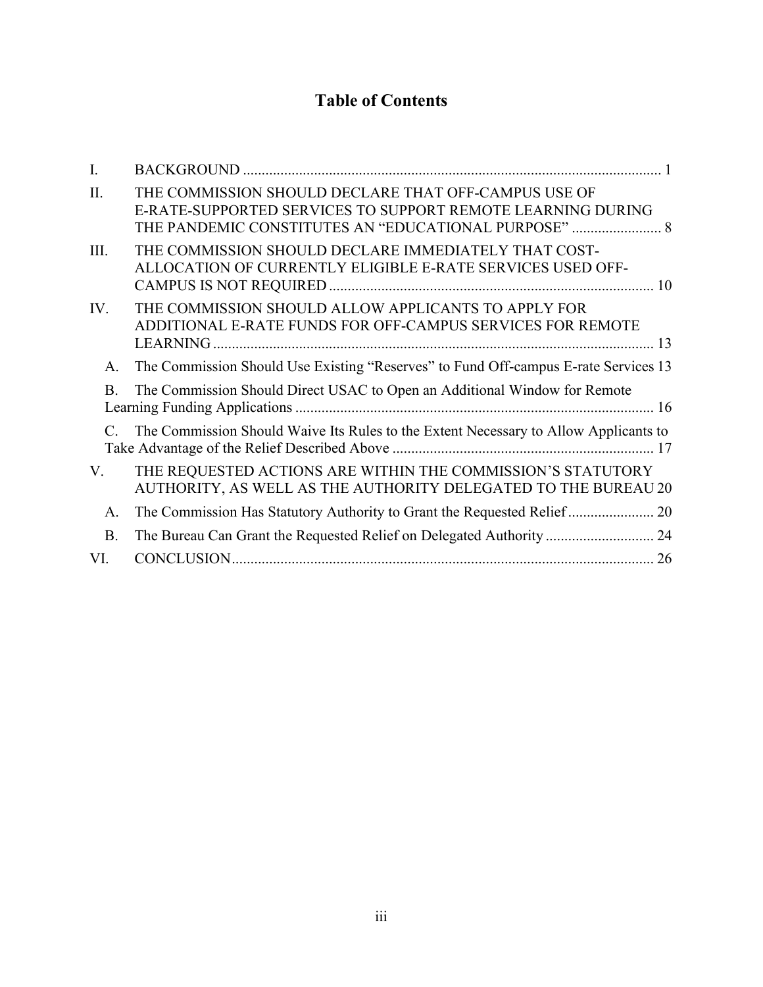# **Table of Contents**

| L.        |                                                                                                                                                                             |
|-----------|-----------------------------------------------------------------------------------------------------------------------------------------------------------------------------|
| II.       | THE COMMISSION SHOULD DECLARE THAT OFF-CAMPUS USE OF<br>E-RATE-SUPPORTED SERVICES TO SUPPORT REMOTE LEARNING DURING<br>THE PANDEMIC CONSTITUTES AN "EDUCATIONAL PURPOSE"  8 |
| III.      | THE COMMISSION SHOULD DECLARE IMMEDIATELY THAT COST-<br>ALLOCATION OF CURRENTLY ELIGIBLE E-RATE SERVICES USED OFF-                                                          |
| IV.       | THE COMMISSION SHOULD ALLOW APPLICANTS TO APPLY FOR<br>ADDITIONAL E-RATE FUNDS FOR OFF-CAMPUS SERVICES FOR REMOTE                                                           |
| A.        | The Commission Should Use Existing "Reserves" to Fund Off-campus E-rate Services 13                                                                                         |
| <b>B.</b> | The Commission Should Direct USAC to Open an Additional Window for Remote                                                                                                   |
|           | The Commission Should Waive Its Rules to the Extent Necessary to Allow Applicants to                                                                                        |
| V.        | THE REQUESTED ACTIONS ARE WITHIN THE COMMISSION'S STATUTORY<br>AUTHORITY, AS WELL AS THE AUTHORITY DELEGATED TO THE BUREAU 20                                               |
| A.        |                                                                                                                                                                             |
| <b>B.</b> |                                                                                                                                                                             |
| VI.       |                                                                                                                                                                             |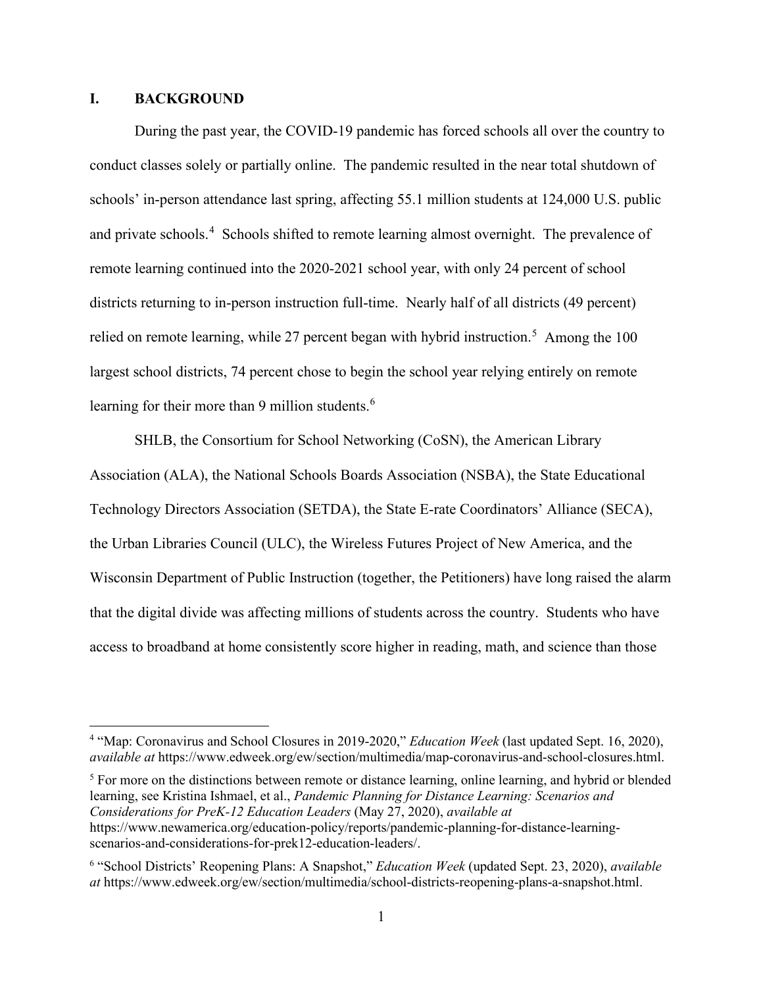#### <span id="page-4-0"></span>**I. BACKGROUND**

During the past year, the COVID-19 pandemic has forced schools all over the country to conduct classes solely or partially online. The pandemic resulted in the near total shutdown of schools' in-person attendance last spring, affecting 55.1 million students at 124,000 U.S. public and private schools.<sup>[4](#page-4-1)</sup> Schools shifted to remote learning almost overnight. The prevalence of remote learning continued into the 2020-2021 school year, with only 24 percent of school districts returning to in-person instruction full-time. Nearly half of all districts (49 percent) relied on remote learning, while 27 percent began with hybrid instruction.<sup>[5](#page-4-2)</sup> Among the 100 largest school districts, 74 percent chose to begin the school year relying entirely on remote learning for their more than 9 million students.<sup>[6](#page-4-3)</sup>

SHLB, the Consortium for School Networking (CoSN), the American Library Association (ALA), the National Schools Boards Association (NSBA), the State Educational Technology Directors Association (SETDA), the State E-rate Coordinators' Alliance (SECA), the Urban Libraries Council (ULC), the Wireless Futures Project of New America, and the Wisconsin Department of Public Instruction (together, the Petitioners) have long raised the alarm that the digital divide was affecting millions of students across the country. Students who have access to broadband at home consistently score higher in reading, math, and science than those

<span id="page-4-2"></span><sup>5</sup> For more on the distinctions between remote or distance learning, online learning, and hybrid or blended learning, see Kristina Ishmael, et al., *Pandemic Planning for Distance Learning: Scenarios and Considerations for PreK-12 Education Leaders* (May 27, 2020), *available at* https://www.newamerica.org/education-policy/reports/pandemic-planning-for-distance-learningscenarios-and-considerations-for-prek12-education-leaders/.

<span id="page-4-1"></span><sup>4</sup> "Map: Coronavirus and School Closures in 2019-2020," *Education Week* (last updated Sept. 16, 2020), *available a[t](https://www.edweek.org/ew/section/multimedia/map-coronavirus-and-school-closures.html)* https://www.edweek.org/ew/section/multimedia/map-coronavirus-and-school-closures.html.

<span id="page-4-3"></span><sup>6</sup> "School Districts' Reopening Plans: A Snapshot," *Education Week* (updated Sept. 23, 2020), *available at* https://www.edweek.org/ew/section/multimedia/school-districts-reopening-plans-a-snapshot.html.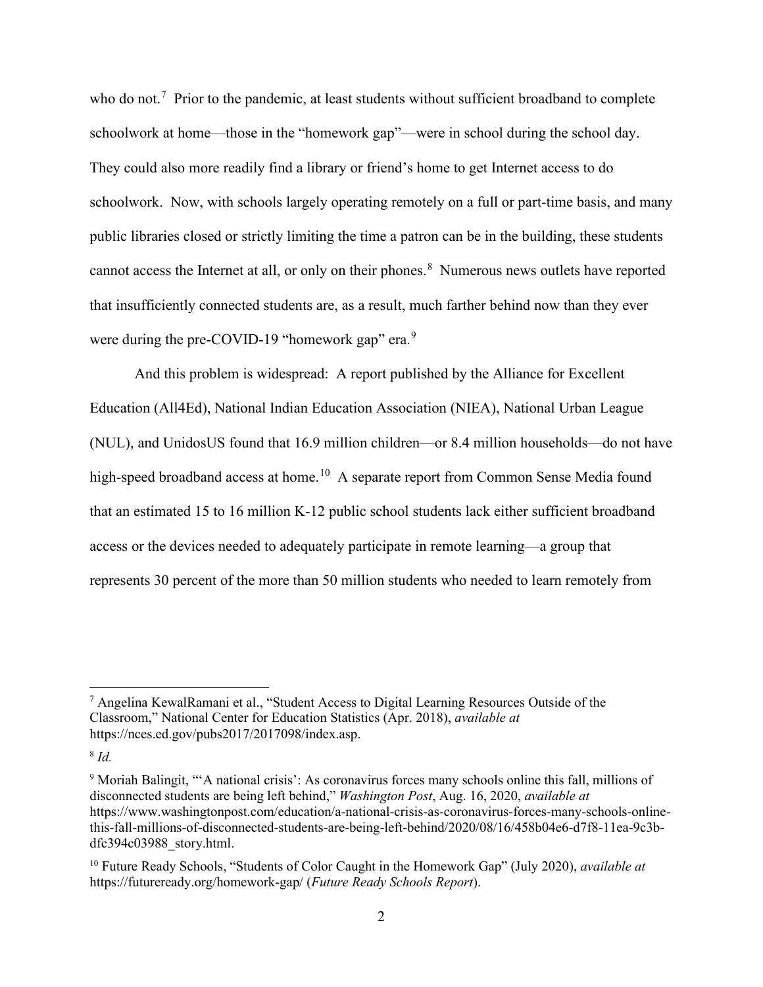who do not.<sup>[7](#page-5-0)</sup> Prior to the pandemic, at least students without sufficient broadband to complete schoolwork at home—those in the "homework gap"—were in school during the school day. They could also more readily find a library or friend's home to get Internet access to do schoolwork. Now, with schools largely operating remotely on a full or part-time basis, and many public libraries closed or strictly limiting the time a patron can be in the building, these students cannot access the Internet at all, or only on their phones.<sup>[8](#page-5-1)</sup> Numerous news outlets have reported that insufficiently connected students are, as a result, much farther behind now than they ever were during the pre-COVID-1[9](#page-5-2) "homework gap" era. $9$ 

And this problem is widespread: A report published by the Alliance for Excellent Education (All4Ed), National Indian Education Association (NIEA), National Urban League (NUL), and UnidosUS found that 16.9 million children—or 8.4 million households—do not have high-speed broadband access at home.<sup>10</sup> A separate report from Common Sense Media found that an estimated 15 to 16 million K-12 public school students lack either sufficient broadband access or the devices needed to adequately participate in remote learning—a group that represents 30 percent of the more than 50 million students who needed to learn remotely from

<span id="page-5-0"></span><sup>7</sup> Angelina KewalRamani et al., "Student Access to Digital Learning Resources Outside of the Classroom," National Center for Education Statistics (Apr. 2018), *available at* https://nces.ed.gov/pubs2017/2017098/index.asp.

<span id="page-5-1"></span><sup>8</sup> *Id.*

<span id="page-5-2"></span><sup>9</sup> Moriah Balingit, "'A national crisis': As coronavirus forces many schools online this fall, millions of disconnected students are being left behind," *Washington Post*, Aug. 16, 2020, *available at*  [https://www.washingtonpost.com/education/a-national-crisis-as-coronavirus-forces-many-schools-online](https://www.washingtonpost.com/education/a-national-crisis-as-coronavirus-forces-many-schools-online-this-fall-millions-of-disconnected-students-are-being-left-behind/2020/08/16/458b04e6-d7f8-11ea-9c3b-dfc394c03988_story.html)[this-fall-millions-of-disconnected-students-are-being-left-behind/2020/08/16/458b04e6-d7f8-11ea-9c3b](https://www.washingtonpost.com/education/a-national-crisis-as-coronavirus-forces-many-schools-online-this-fall-millions-of-disconnected-students-are-being-left-behind/2020/08/16/458b04e6-d7f8-11ea-9c3b-dfc394c03988_story.html)[dfc394c03988\\_story.html.](https://www.washingtonpost.com/education/a-national-crisis-as-coronavirus-forces-many-schools-online-this-fall-millions-of-disconnected-students-are-being-left-behind/2020/08/16/458b04e6-d7f8-11ea-9c3b-dfc394c03988_story.html)

<span id="page-5-3"></span><sup>10</sup> Future Ready Schools, "Students of Color Caught in the Homework Gap" (July 2020), *available at*  <https://futureready.org/homework-gap/> (*Future Ready Schools Report*).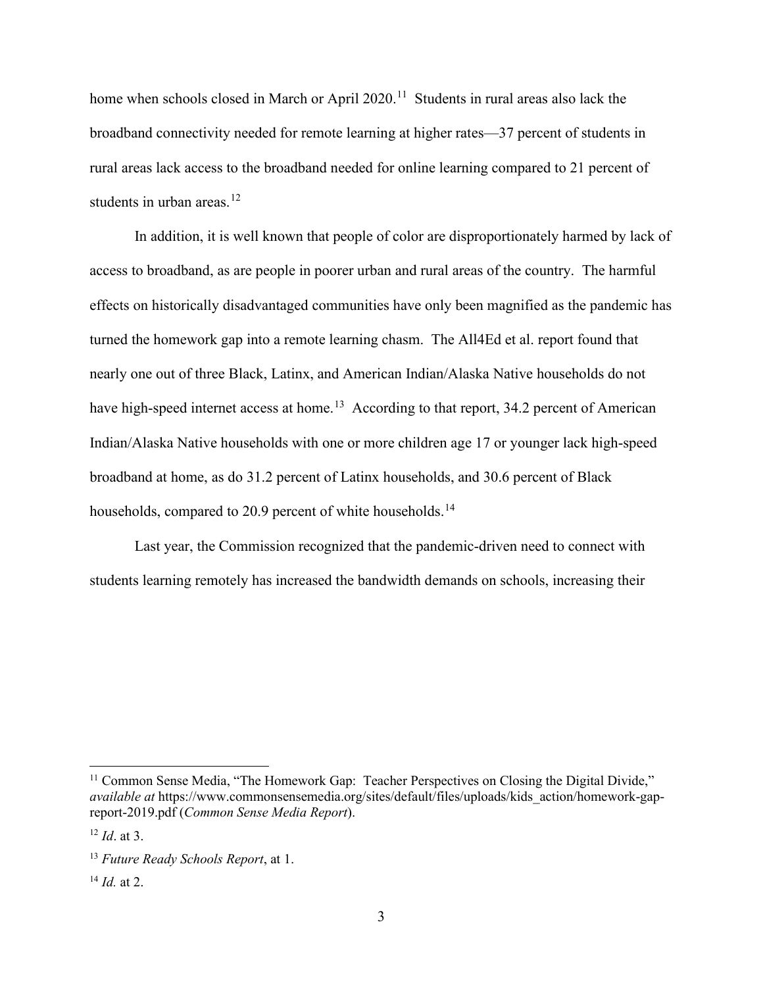home when schools closed in March or April 2020.<sup>11</sup> Students in rural areas also lack the broadband connectivity needed for remote learning at higher rates—37 percent of students in rural areas lack access to the broadband needed for online learning compared to 21 percent of students in urban areas. $12$ 

In addition, it is well known that people of color are disproportionately harmed by lack of access to broadband, as are people in poorer urban and rural areas of the country. The harmful effects on historically disadvantaged communities have only been magnified as the pandemic has turned the homework gap into a remote learning chasm. The All4Ed et al. report found that nearly one out of three Black, Latinx, and American Indian/Alaska Native households do not have high-speed internet access at home.<sup>13</sup> According to that report, 34.2 percent of American Indian/Alaska Native households with one or more children age 17 or younger lack high-speed broadband at home, as do 31.2 percent of Latinx households, and 30.6 percent of Black households, compared to 20.9 percent of white households.<sup>[14](#page-6-3)</sup>

Last year, the Commission recognized that the pandemic-driven need to connect with students learning remotely has increased the bandwidth demands on schools, increasing their

<span id="page-6-0"></span><sup>&</sup>lt;sup>11</sup> Common Sense Media, "The Homework Gap: Teacher Perspectives on Closing the Digital Divide," *available at* [https://www.commonsensemedia.org/sites/default/files/uploads/kids\\_action/homework-gap](https://www.commonsensemedia.org/sites/default/files/uploads/kids_action/homework-gap-report-2019.pdf)[report-2019.pdf](https://www.commonsensemedia.org/sites/default/files/uploads/kids_action/homework-gap-report-2019.pdf) (*Common Sense Media Report*).

<span id="page-6-1"></span><sup>12</sup> *Id*. at 3.

<span id="page-6-2"></span><sup>13</sup> *Future Ready Schools Report*, at 1.

<span id="page-6-3"></span> $^{14}$  *Id.* at 2.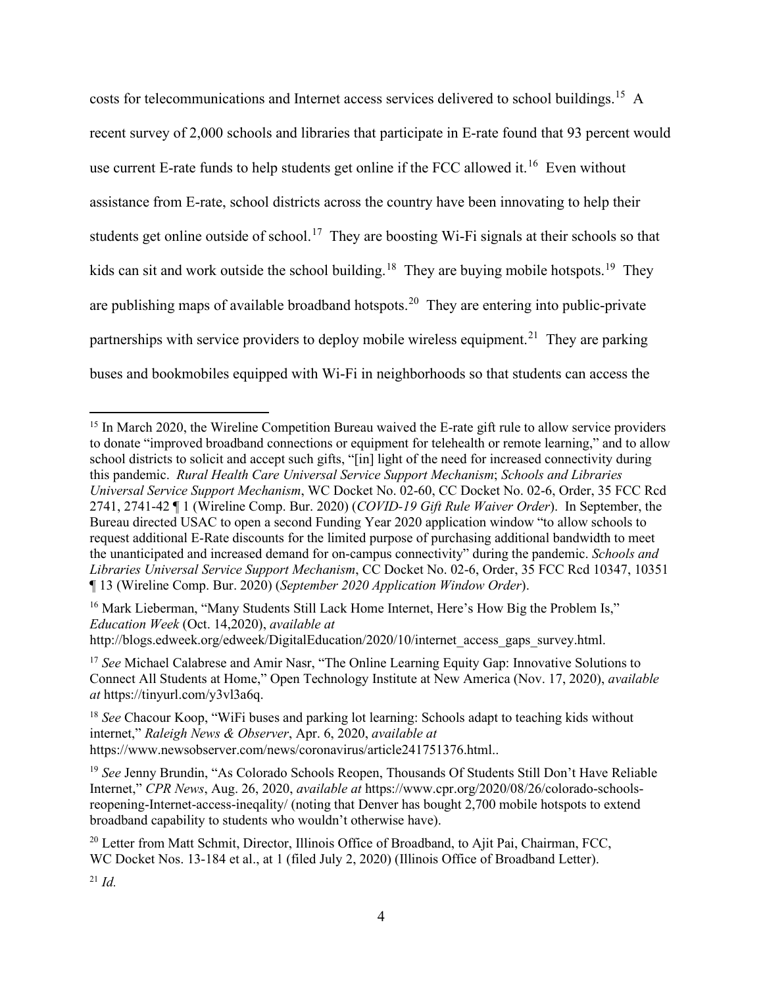costs for telecommunications and Internet access services delivered to school buildings.<sup>[15](#page-7-0)</sup> A recent survey of 2,000 schools and libraries that participate in E-rate found that 93 percent would use current E-rate funds to help students get online if the FCC allowed it.<sup>[16](#page-7-1)</sup> Even without assistance from E-rate, school districts across the country have been innovating to help their students get online outside of school.<sup>17</sup> They are boosting Wi-Fi signals at their schools so that kids can sit and work outside the school building.<sup>[18](#page-7-3)</sup> They are buying mobile hotspots.<sup>[19](#page-7-4)</sup> They are publishing maps of available broadband hotspots.<sup>[20](#page-7-5)</sup> They are entering into public-private partnerships with service providers to deploy mobile wireless equipment.<sup>[21](#page-7-6)</sup> They are parking buses and bookmobiles equipped with Wi-Fi in neighborhoods so that students can access the

<span id="page-7-1"></span><sup>16</sup> Mark Lieberman, "Many Students Still Lack Home Internet, Here's How Big the Problem Is," *Education Week* (Oct. 14,2020), *available at* http://blogs.edweek.org/edweek/DigitalEducation/2020/10/internet\_access\_gaps\_survey.html.

<span id="page-7-0"></span><sup>&</sup>lt;sup>15</sup> In March 2020, the Wireline Competition Bureau waived the E-rate gift rule to allow service providers to donate "improved broadband connections or equipment for telehealth or remote learning," and to allow school districts to solicit and accept such gifts, "[in] light of the need for increased connectivity during this pandemic. *Rural Health Care Universal Service Support Mechanism*; *Schools and Libraries Universal Service Support Mechanism*, WC Docket No. 02-60, CC Docket No. 02-6, Order, 35 FCC Rcd 2741, 2741-42 ¶ 1 (Wireline Comp. Bur. 2020) (*COVID-19 Gift Rule Waiver Order*). In September, the Bureau directed USAC to open a second Funding Year 2020 application window "to allow schools to request additional E-Rate discounts for the limited purpose of purchasing additional bandwidth to meet the unanticipated and increased demand for on-campus connectivity" during the pandemic. *Schools and Libraries Universal Service Support Mechanism*, CC Docket No. 02-6, Order, 35 FCC Rcd 10347, 10351 ¶ 13 (Wireline Comp. Bur. 2020) (*September 2020 Application Window Order*).

<span id="page-7-2"></span><sup>&</sup>lt;sup>17</sup> See Michael Calabrese and Amir Nasr, "The Online Learning Equity Gap: Innovative Solutions to Connect All Students at Home," Open Technology Institute at New America (Nov. 17, 2020), *available at* [https://tinyurl.com/y3vl3a6q.](https://tinyurl.com/y3vl3a6q)

<span id="page-7-3"></span><sup>18</sup> *See* Chacour Koop, "WiFi buses and parking lot learning: Schools adapt to teaching kids without internet," *Raleigh News & Observer*, Apr. 6, 2020, *available at*  https://www.newsobserver.com/news/coronavirus/article241751376.html..

<span id="page-7-4"></span><sup>&</sup>lt;sup>19</sup> See Jenny Brundin, "As Colorado Schools Reopen, Thousands Of Students Still Don't Have Reliable Internet," *CPR News*, Aug. 26, 2020, *available at* https://www.cpr.org/2020/08/26/colorado-schoolsreopening-Internet-access-ineqality/ (noting that Denver has bought 2,700 mobile hotspots to extend broadband capability to students who wouldn't otherwise have).

<span id="page-7-5"></span><sup>&</sup>lt;sup>20</sup> Letter from Matt Schmit, Director, Illinois Office of Broadband, to Ajit Pai, Chairman, FCC, WC Docket Nos. 13-184 et al., at 1 (filed July 2, 2020) (Illinois Office of Broadband Letter).

<span id="page-7-6"></span> $^{21}$  *Id.*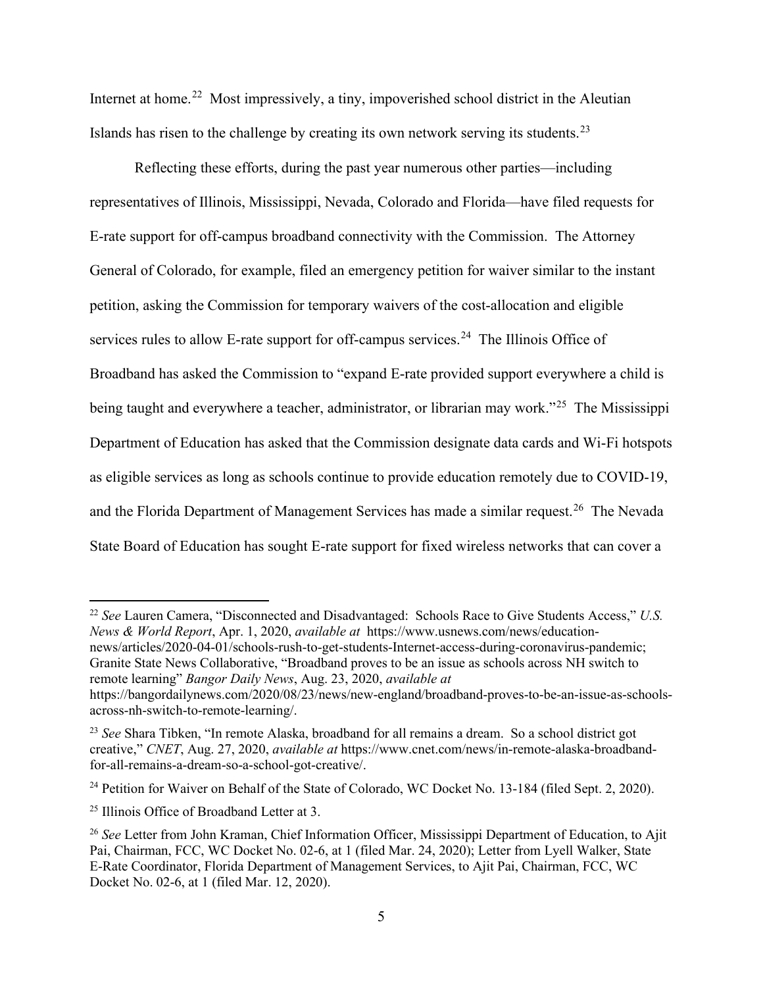Internet at home.<sup>[22](#page-8-0)</sup> Most impressively, a tiny, impoverished school district in the Aleutian Islands has risen to the challenge by creating its own network serving its students.<sup>23</sup>

Reflecting these efforts, during the past year numerous other parties—including representatives of Illinois, Mississippi, Nevada, Colorado and Florida—have filed requests for E-rate support for off-campus broadband connectivity with the Commission. The Attorney General of Colorado, for example, filed an emergency petition for waiver similar to the instant petition, asking the Commission for temporary waivers of the cost-allocation and eligible services rules to allow E-rate support for off-campus services.<sup>[24](#page-8-2)</sup> The Illinois Office of Broadband has asked the Commission to "expand E-rate provided support everywhere a child is being taught and everywhere a teacher, administrator, or librarian may work."<sup>25</sup> The Mississippi Department of Education has asked that the Commission designate data cards and Wi-Fi hotspots as eligible services as long as schools continue to provide education remotely due to COVID-19, and the Florida Department of Management Services has made a similar request.<sup>[26](#page-8-4)</sup> The Nevada State Board of Education has sought E-rate support for fixed wireless networks that can cover a

<span id="page-8-0"></span><sup>22</sup> *See* Lauren Camera, "Disconnected and Disadvantaged: Schools Race to Give Students Access," *U.S. News & World Report*, Apr. 1, 2020, *available at* https://www.usnews.com/news/educationnews/articles/2020-04-01/schools-rush-to-get-students-Internet-access-during-coronavirus-pandemic; Granite State News Collaborative, "Broadband proves to be an issue as schools across NH switch to

remote learning" *Bangor Daily News*, Aug. 23, 2020, *available at*  https://bangordailynews.com/2020/08/23/news/new-england/broadband-proves-to-be-an-issue-as-schools-

across-nh-switch-to-remote-learning/.

<span id="page-8-1"></span><sup>23</sup> *See* Shara Tibken, "In remote Alaska, broadband for all remains a dream. So a school district got creative," *CNET*, Aug. 27, 2020, *available at* https://www.cnet.com/news/in-remote-alaska-broadbandfor-all-remains-a-dream-so-a-school-got-creative/.

<span id="page-8-2"></span><sup>&</sup>lt;sup>24</sup> Petition for Waiver on Behalf of the State of Colorado, WC Docket No. 13-184 (filed Sept. 2, 2020).

<span id="page-8-3"></span> $25$  Illinois Office of Broadband Letter at 3.

<span id="page-8-4"></span><sup>&</sup>lt;sup>26</sup> See Letter from John Kraman, Chief Information Officer, Mississippi Department of Education, to Ajit Pai, Chairman, FCC, WC Docket No. 02-6, at 1 (filed Mar. 24, 2020); Letter from Lyell Walker, State E-Rate Coordinator, Florida Department of Management Services, to Ajit Pai, Chairman, FCC, WC Docket No. 02-6, at 1 (filed Mar. 12, 2020).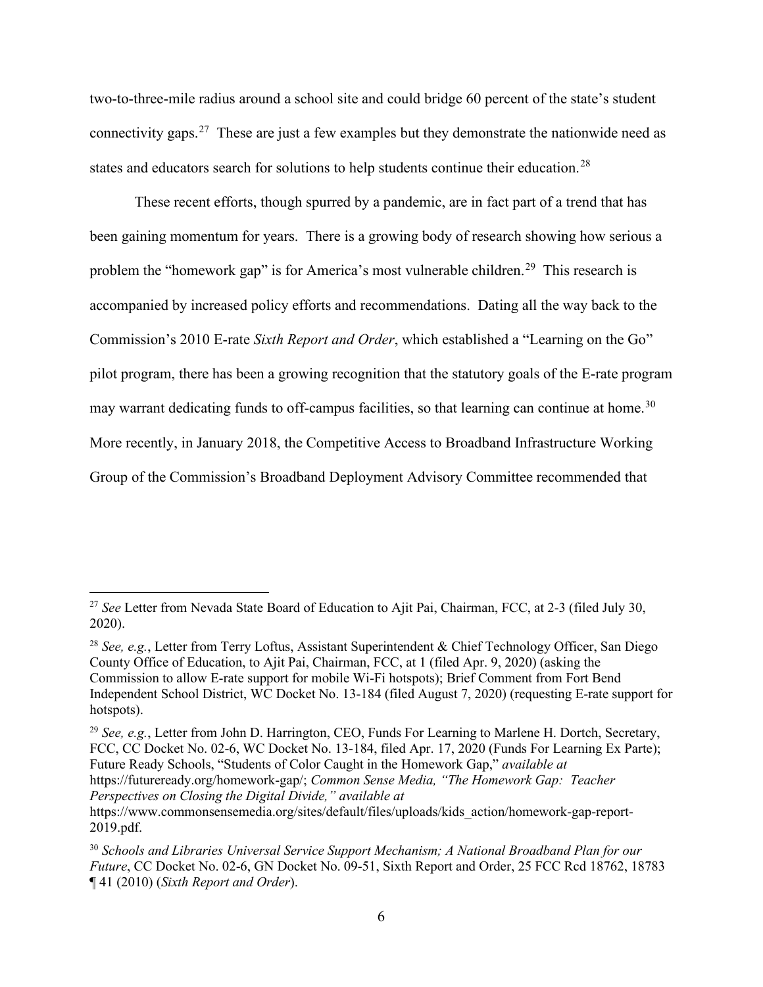two-to-three-mile radius around a school site and could bridge 60 percent of the state's student connectivity gaps.[27](#page-9-0) These are just a few examples but they demonstrate the nationwide need as states and educators search for solutions to help students continue their education.<sup>[28](#page-9-1)</sup>

These recent efforts, though spurred by a pandemic, are in fact part of a trend that has been gaining momentum for years. There is a growing body of research showing how serious a problem the "homework gap" is for America's most vulnerable children.<sup>29</sup> This research is accompanied by increased policy efforts and recommendations. Dating all the way back to the Commission's 2010 E-rate *Sixth Report and Order*, which established a "Learning on the Go" pilot program, there has been a growing recognition that the statutory goals of the E-rate program may warrant dedicating funds to off-campus facilities, so that learning can continue at home.<sup>[30](#page-9-3)</sup> More recently, in January 2018, the Competitive Access to Broadband Infrastructure Working Group of the Commission's Broadband Deployment Advisory Committee recommended that

<span id="page-9-2"></span><sup>29</sup> *See, e.g.*, Letter from John D. Harrington, CEO, Funds For Learning to Marlene H. Dortch, Secretary, FCC, CC Docket No. 02-6, WC Docket No. 13-184, filed Apr. 17, 2020 (Funds For Learning Ex Parte); Future Ready Schools, "Students of Color Caught in the Homework Gap," *available at*  https://futureready.org/homework-gap/; *Common Sense Media, "The Homework Gap: Teacher Perspectives on Closing the Digital Divide," available at* 

<span id="page-9-0"></span><sup>27</sup> *See* Letter from Nevada State Board of Education to Ajit Pai, Chairman, FCC, at 2-3 (filed July 30, 2020).

<span id="page-9-1"></span><sup>28</sup> *See, e.g.*, Letter from Terry Loftus, Assistant Superintendent & Chief Technology Officer, San Diego County Office of Education, to Ajit Pai, Chairman, FCC, at 1 (filed Apr. 9, 2020) (asking the Commission to allow E-rate support for mobile Wi-Fi hotspots); Brief Comment from Fort Bend Independent School District, WC Docket No. 13-184 (filed August 7, 2020) (requesting E-rate support for hotspots).

https://www.commonsensemedia.org/sites/default/files/uploads/kids\_action/homework-gap-report-2019.pdf.

<span id="page-9-3"></span><sup>30</sup> *Schools and Libraries Universal Service Support Mechanism; A National Broadband Plan for our Future*, CC Docket No. 02-6, GN Docket No. 09-51, Sixth Report and Order, 25 FCC Rcd 18762, 18783 ¶ 41 (2010) (*Sixth Report and Order*).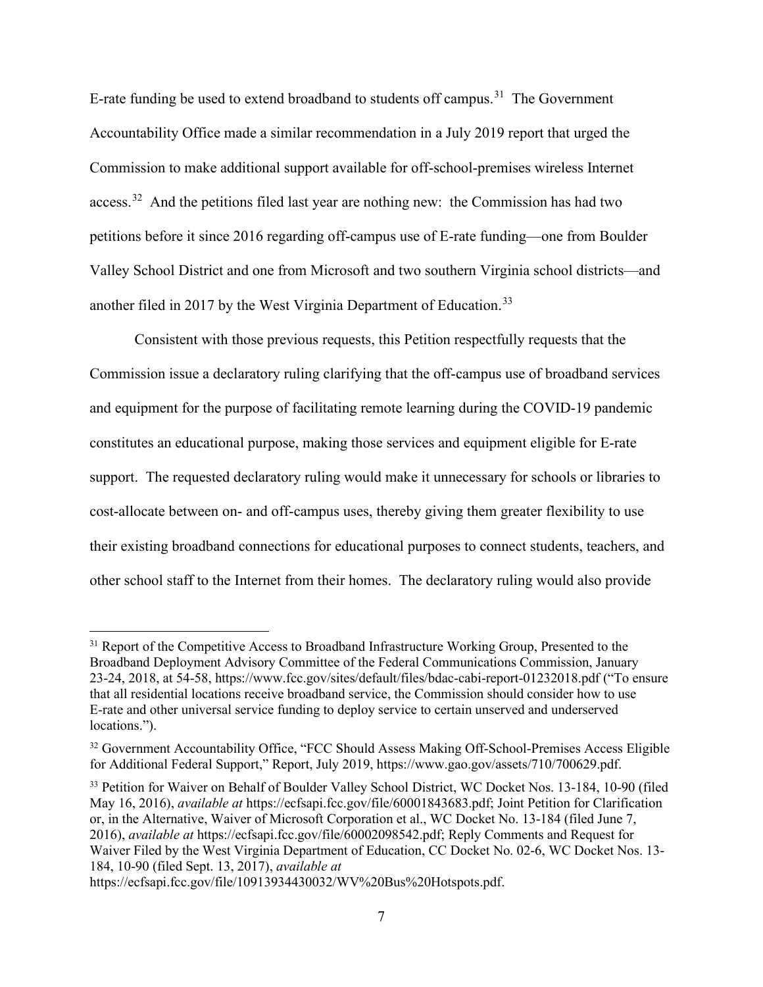E-rate funding be used to extend broadband to students off campus.<sup>31</sup> The Government Accountability Office made a similar recommendation in a July 2019 report that urged the Commission to make additional support available for off-school-premises wireless Internet access.<sup>[32](#page-10-1)</sup> And the petitions filed last year are nothing new: the Commission has had two petitions before it since 2016 regarding off-campus use of E-rate funding—one from Boulder Valley School District and one from Microsoft and two southern Virginia school districts—and another filed in 2017 by the West Virginia Department of Education.<sup>33</sup>

Consistent with those previous requests, this Petition respectfully requests that the Commission issue a declaratory ruling clarifying that the off-campus use of broadband services and equipment for the purpose of facilitating remote learning during the COVID-19 pandemic constitutes an educational purpose, making those services and equipment eligible for E-rate support. The requested declaratory ruling would make it unnecessary for schools or libraries to cost-allocate between on- and off-campus uses, thereby giving them greater flexibility to use their existing broadband connections for educational purposes to connect students, teachers, and other school staff to the Internet from their homes. The declaratory ruling would also provide

<span id="page-10-2"></span><sup>33</sup> Petition for Waiver on Behalf of Boulder Valley School District, WC Docket Nos. 13-184, 10-90 (filed May 16, 2016), *available at* https://ecfsapi.fcc.gov/file/60001843683.pdf; Joint Petition for Clarification or, in the Alternative, Waiver of Microsoft Corporation et al., WC Docket No. 13-184 (filed June 7, 2016), *available at* [https://ecfsapi.fcc.gov/file/60002098542.pdf;](https://ecfsapi.fcc.gov/file/60002098542.pdf) Reply Comments and Request for Waiver Filed by the West Virginia Department of Education, CC Docket No. 02-6, WC Docket Nos. 13- 184, 10-90 (filed Sept. 13, 2017), *available at*

https://ecfsapi.fcc.gov/file/10913934430032/WV%20Bus%20Hotspots.pdf.

<span id="page-10-0"></span><sup>&</sup>lt;sup>31</sup> Report of the Competitive Access to Broadband Infrastructure Working Group, Presented to the Broadband Deployment Advisory Committee of the Federal Communications Commission, January 23-24, 2018, at 54-58, https://www.fcc.gov/sites/default/files/bdac-cabi-report-01232018.pdf ("To ensure that all residential locations receive broadband service, the Commission should consider how to use E-rate and other universal service funding to deploy service to certain unserved and underserved locations.").

<span id="page-10-1"></span><sup>&</sup>lt;sup>32</sup> Government Accountability Office, "FCC Should Assess Making Off-School-Premises Access Eligible for Additional Federal Support," Report, July 2019, https://www.gao.gov/assets/710/700629.pdf.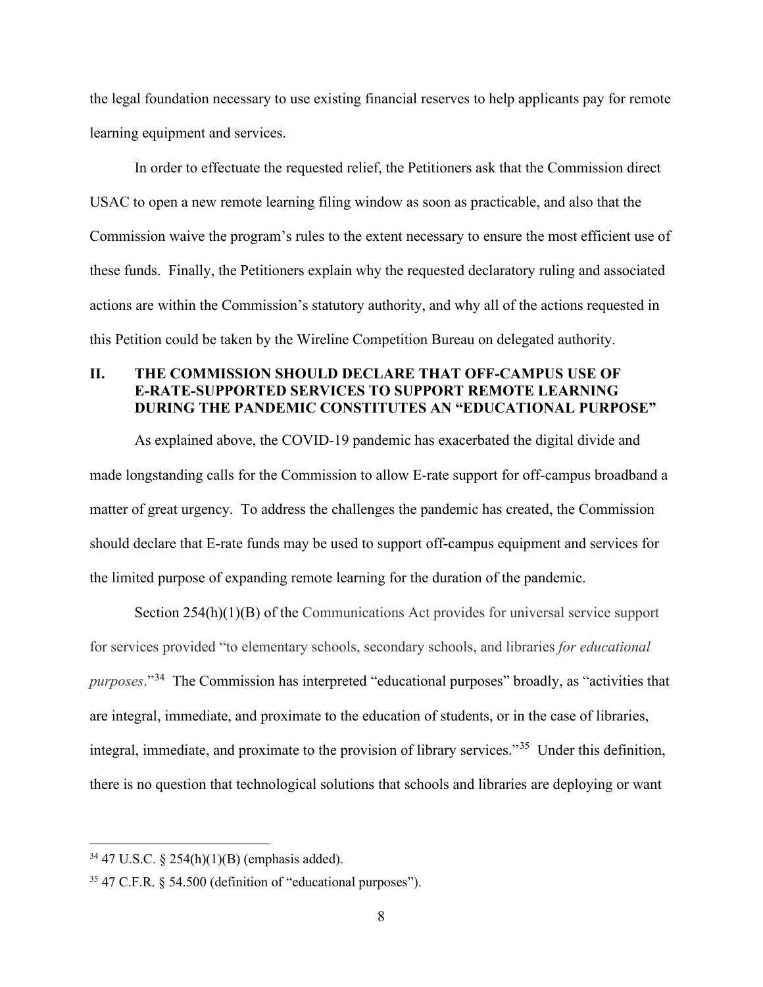the legal foundation necessary to use existing financial reserves to help applicants pay for remote learning equipment and services.

In order to effectuate the requested relief, the Petitioners ask that the Commission direct USAC to open a new remote learning filing window as soon as practicable, and also that the Commission waive the program's rules to the extent necessary to ensure the most efficient use of these funds. Finally, the Petitioners explain why the requested declaratory ruling and associated actions are within the Commission's statutory authority, and why all of the actions requested in this Petition could be taken by the Wireline Competition Bureau on delegated authority.

## <span id="page-11-0"></span>**II. THE COMMISSION SHOULD DECLARE THAT OFF-CAMPUS USE OF E-RATE-SUPPORTED SERVICES TO SUPPORT REMOTE LEARNING DURING THE PANDEMIC CONSTITUTES AN "EDUCATIONAL PURPOSE"**

As explained above, the COVID-19 pandemic has exacerbated the digital divide and made longstanding calls for the Commission to allow E-rate support for off-campus broadband a matter of great urgency. To address the challenges the pandemic has created, the Commission should declare that E-rate funds may be used to support off-campus equipment and services for the limited purpose of expanding remote learning for the duration of the pandemic.

Section 254(h)(1)(B) of the Communications Act provides for universal service support for services provided "to elementary schools, secondary schools, and libraries *for educational purposes*."[34](#page-11-1) The Commission has interpreted "educational purposes" broadly, as "activities that are integral, immediate, and proximate to the education of students, or in the case of libraries, integral, immediate, and proximate to the provision of library services."[35](#page-11-2) Under this definition, there is no question that technological solutions that schools and libraries are deploying or want

<span id="page-11-1"></span> $34$  47 U.S.C. § 254(h)(1)(B) (emphasis added).

<span id="page-11-2"></span><sup>35</sup> 47 C.F.R. § 54.500 (definition of "educational purposes").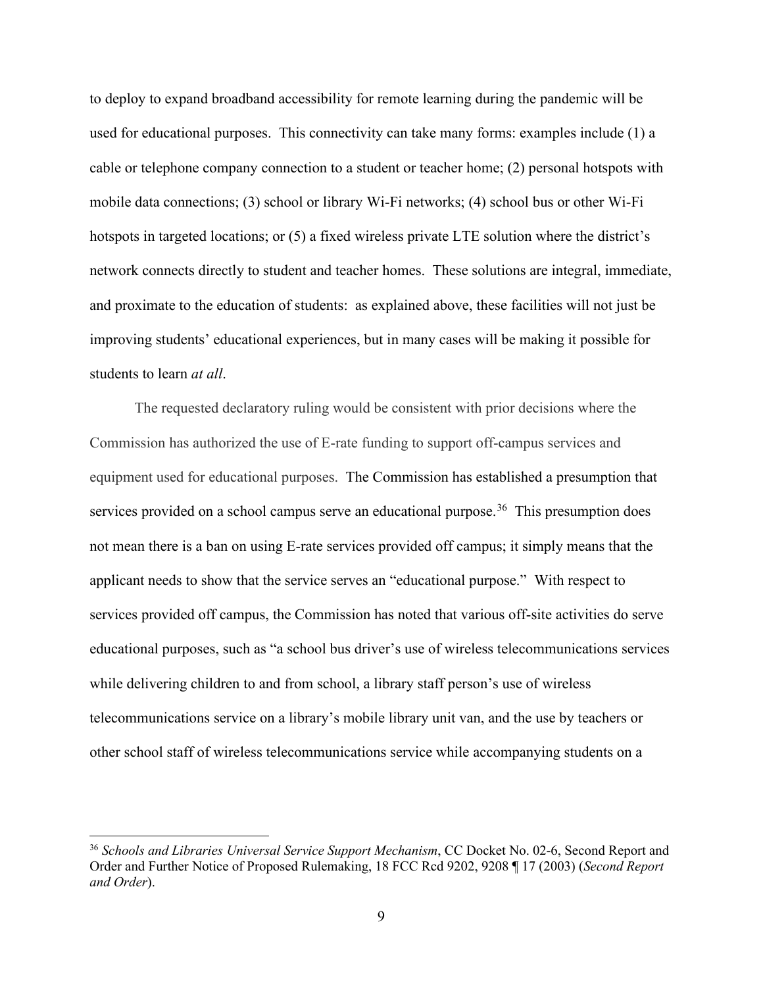to deploy to expand broadband accessibility for remote learning during the pandemic will be used for educational purposes. This connectivity can take many forms: examples include (1) a cable or telephone company connection to a student or teacher home; (2) personal hotspots with mobile data connections; (3) school or library Wi-Fi networks; (4) school bus or other Wi-Fi hotspots in targeted locations; or (5) a fixed wireless private LTE solution where the district's network connects directly to student and teacher homes. These solutions are integral, immediate, and proximate to the education of students: as explained above, these facilities will not just be improving students' educational experiences, but in many cases will be making it possible for students to learn *at all*.

The requested declaratory ruling would be consistent with prior decisions where the Commission has authorized the use of E-rate funding to support off-campus services and equipment used for educational purposes. The Commission has established a presumption that services provided on a school campus serve an educational purpose.<sup>[36](#page-12-0)</sup> This presumption does not mean there is a ban on using E-rate services provided off campus; it simply means that the applicant needs to show that the service serves an "educational purpose." With respect to services provided off campus, the Commission has noted that various off-site activities do serve educational purposes, such as "a school bus driver's use of wireless telecommunications services while delivering children to and from school, a library staff person's use of wireless telecommunications service on a library's mobile library unit van, and the use by teachers or other school staff of wireless telecommunications service while accompanying students on a

<span id="page-12-0"></span><sup>36</sup> *Schools and Libraries Universal Service Support Mechanism*, CC Docket No. 02-6, Second Report and Order and Further Notice of Proposed Rulemaking, 18 FCC Rcd 9202, 9208 ¶ 17 (2003) (*Second Report and Order*).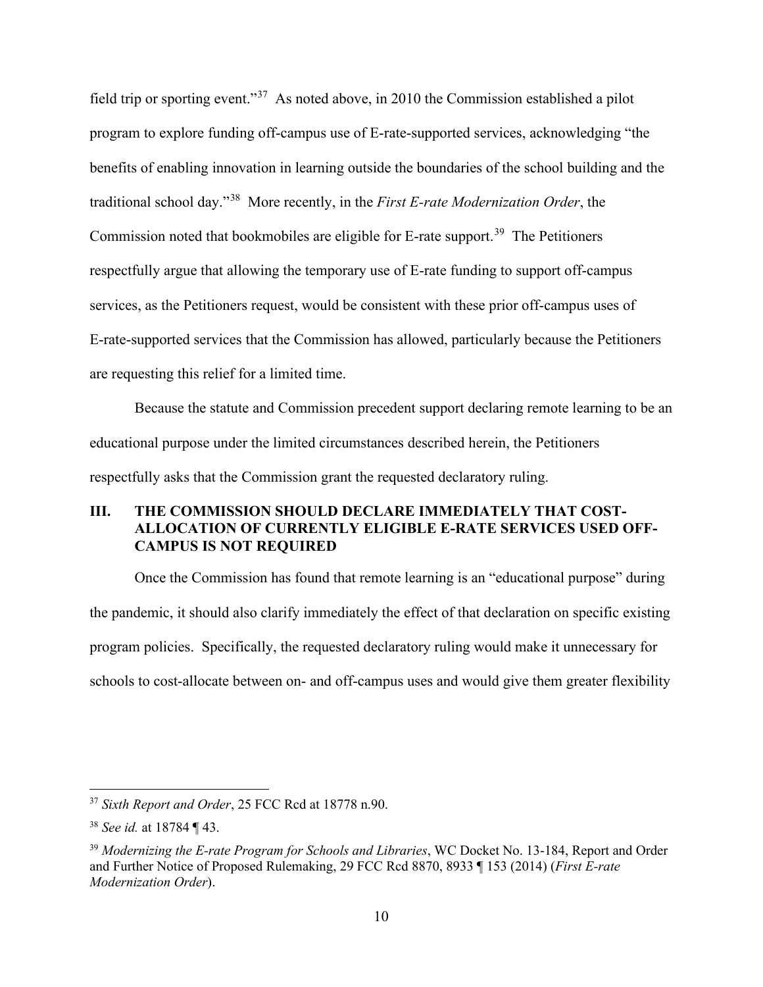field trip or sporting event."[37](#page-13-1) As noted above, in 2010 the Commission established a pilot program to explore funding off-campus use of E-rate-supported services, acknowledging "the benefits of enabling innovation in learning outside the boundaries of the school building and the traditional school day."[38](#page-13-2) More recently, in the *First E-rate Modernization Order*, the Commission noted that bookmobiles are eligible for E-rate support.<sup>[39](#page-13-3)</sup> The Petitioners respectfully argue that allowing the temporary use of E-rate funding to support off-campus services, as the Petitioners request, would be consistent with these prior off-campus uses of E-rate-supported services that the Commission has allowed, particularly because the Petitioners are requesting this relief for a limited time.

Because the statute and Commission precedent support declaring remote learning to be an educational purpose under the limited circumstances described herein, the Petitioners respectfully asks that the Commission grant the requested declaratory ruling.

## <span id="page-13-0"></span>**III. THE COMMISSION SHOULD DECLARE IMMEDIATELY THAT COST-ALLOCATION OF CURRENTLY ELIGIBLE E-RATE SERVICES USED OFF-CAMPUS IS NOT REQUIRED**

Once the Commission has found that remote learning is an "educational purpose" during the pandemic, it should also clarify immediately the effect of that declaration on specific existing program policies. Specifically, the requested declaratory ruling would make it unnecessary for schools to cost-allocate between on- and off-campus uses and would give them greater flexibility

<span id="page-13-1"></span><sup>37</sup> *Sixth Report and Order*, 25 FCC Rcd at 18778 n.90.

<span id="page-13-2"></span><sup>38</sup> *See id.* at 18784 ¶ 43.

<span id="page-13-3"></span><sup>39</sup> *Modernizing the E-rate Program for Schools and Libraries*, WC Docket No. 13-184, Report and Order and Further Notice of Proposed Rulemaking, 29 FCC Rcd 8870, 8933 ¶ 153 (2014) (*First E-rate Modernization Order*).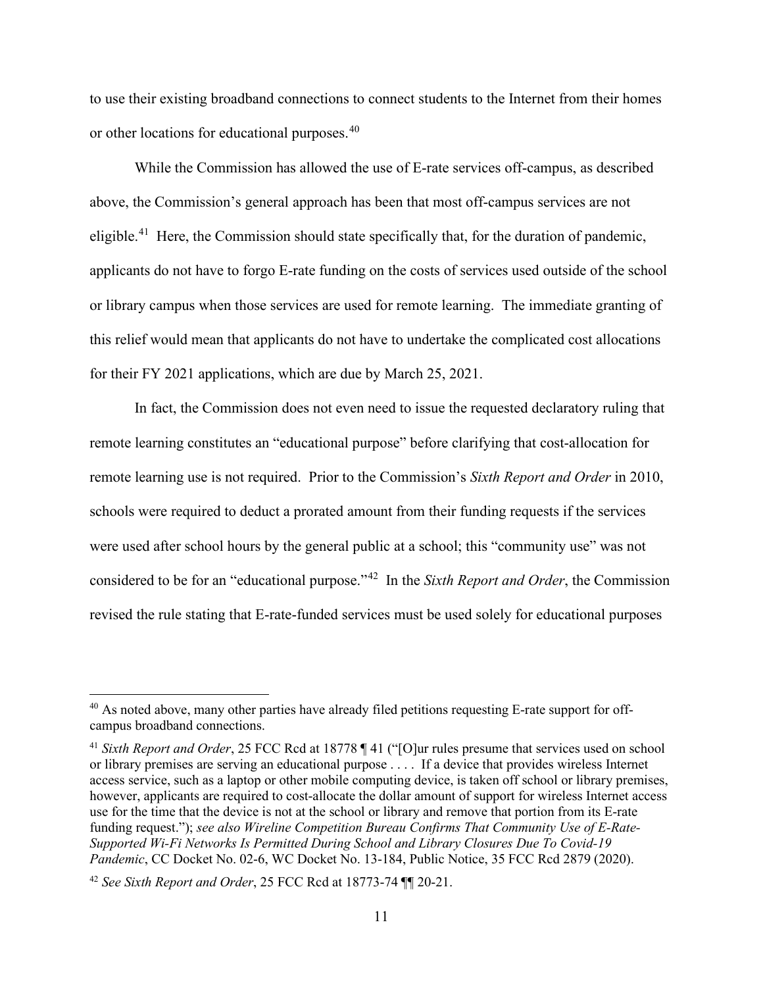to use their existing broadband connections to connect students to the Internet from their homes or other locations for educational purposes.<sup>40</sup>

While the Commission has allowed the use of E-rate services off-campus, as described above, the Commission's general approach has been that most off-campus services are not eligible.<sup>41</sup> Here, the Commission should state specifically that, for the duration of pandemic, applicants do not have to forgo E-rate funding on the costs of services used outside of the school or library campus when those services are used for remote learning. The immediate granting of this relief would mean that applicants do not have to undertake the complicated cost allocations for their FY 2021 applications, which are due by March 25, 2021.

In fact, the Commission does not even need to issue the requested declaratory ruling that remote learning constitutes an "educational purpose" before clarifying that cost-allocation for remote learning use is not required. Prior to the Commission's *Sixth Report and Order* in 2010, schools were required to deduct a prorated amount from their funding requests if the services were used after school hours by the general public at a school; this "community use" was not considered to be for an "educational purpose."[42](#page-14-2) In the *Sixth Report and Order*, the Commission revised the rule stating that E-rate-funded services must be used solely for educational purposes

<span id="page-14-0"></span><sup>&</sup>lt;sup>40</sup> As noted above, many other parties have already filed petitions requesting E-rate support for offcampus broadband connections.

<span id="page-14-1"></span><sup>41</sup> *Sixth Report and Order*, 25 FCC Rcd at 18778 ¶ 41 ("[O]ur rules presume that services used on school or library premises are serving an educational purpose . . . . If a device that provides wireless Internet access service, such as a laptop or other mobile computing device, is taken off school or library premises, however, applicants are required to cost-allocate the dollar amount of support for wireless Internet access use for the time that the device is not at the school or library and remove that portion from its E-rate funding request."); *see also Wireline Competition Bureau Confirms That Community Use of E-Rate-Supported Wi-Fi Networks Is Permitted During School and Library Closures Due To Covid-19 Pandemic*, CC Docket No. 02-6, WC Docket No. 13-184, Public Notice, 35 FCC Rcd 2879 (2020).

<span id="page-14-2"></span><sup>42</sup> *See Sixth Report and Order*, 25 FCC Rcd at 18773-74 ¶¶ 20-21.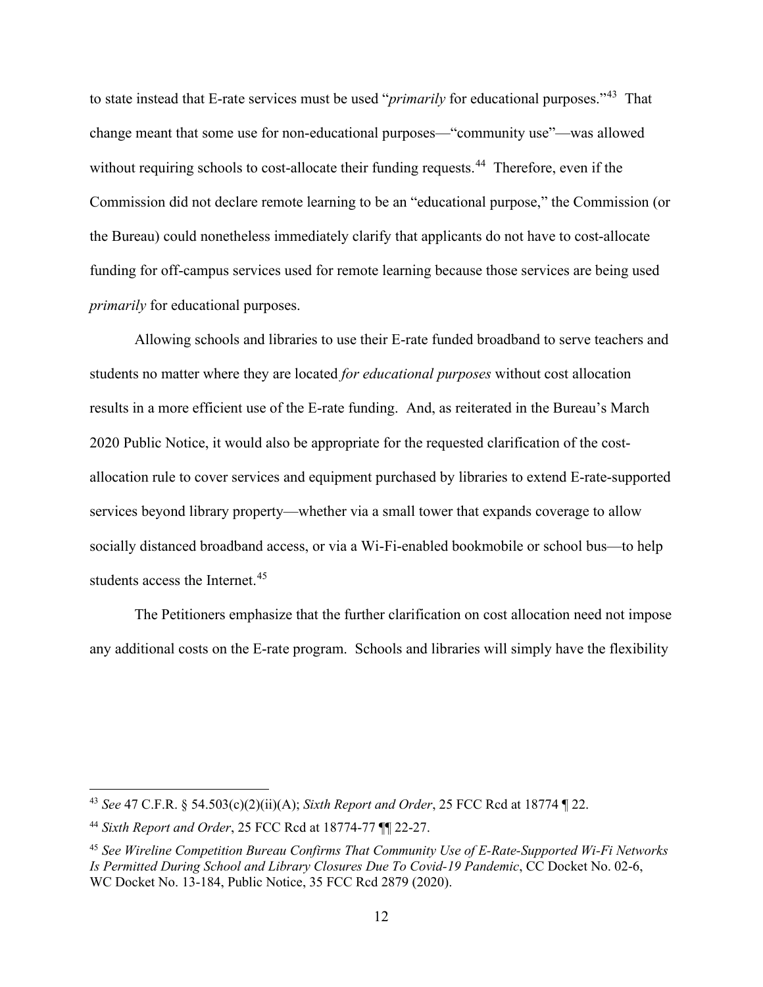to state instead that E-rate services must be used "*primarily* for educational purposes."[43](#page-15-0) That change meant that some use for non-educational purposes—"community use"—was allowed without requiring schools to cost-allocate their funding requests.<sup>[44](#page-15-1)</sup> Therefore, even if the Commission did not declare remote learning to be an "educational purpose," the Commission (or the Bureau) could nonetheless immediately clarify that applicants do not have to cost-allocate funding for off-campus services used for remote learning because those services are being used *primarily* for educational purposes.

Allowing schools and libraries to use their E-rate funded broadband to serve teachers and students no matter where they are located *for educational purposes* without cost allocation results in a more efficient use of the E-rate funding. And, as reiterated in the Bureau's March 2020 Public Notice, it would also be appropriate for the requested clarification of the costallocation rule to cover services and equipment purchased by libraries to extend E-rate-supported services beyond library property—whether via a small tower that expands coverage to allow socially distanced broadband access, or via a Wi-Fi-enabled bookmobile or school bus—to help students access the Internet.<sup>[45](#page-15-2)</sup>

The Petitioners emphasize that the further clarification on cost allocation need not impose any additional costs on the E-rate program. Schools and libraries will simply have the flexibility

<span id="page-15-0"></span><sup>43</sup> *See* 47 C.F.R. § 54.503(c)(2)(ii)(A); *Sixth Report and Order*, 25 FCC Rcd at 18774 ¶ 22.

<span id="page-15-1"></span><sup>44</sup> *Sixth Report and Order*, 25 FCC Rcd at 18774-77 ¶¶ 22-27.

<span id="page-15-2"></span><sup>45</sup> *See Wireline Competition Bureau Confirms That Community Use of E-Rate-Supported Wi-Fi Networks Is Permitted During School and Library Closures Due To Covid-19 Pandemic*, CC Docket No. 02-6, WC Docket No. 13-184, Public Notice, 35 FCC Rcd 2879 (2020).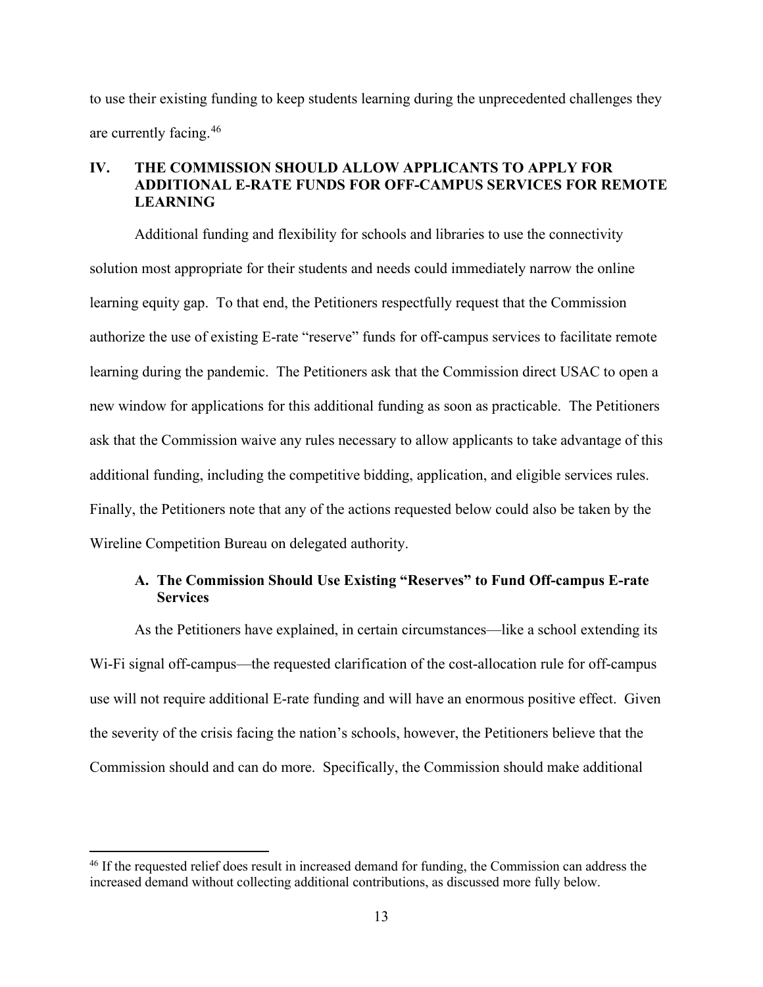to use their existing funding to keep students learning during the unprecedented challenges they are currently facing.[46](#page-16-2) 

## <span id="page-16-0"></span>**IV. THE COMMISSION SHOULD ALLOW APPLICANTS TO APPLY FOR ADDITIONAL E-RATE FUNDS FOR OFF-CAMPUS SERVICES FOR REMOTE LEARNING**

Additional funding and flexibility for schools and libraries to use the connectivity solution most appropriate for their students and needs could immediately narrow the online learning equity gap. To that end, the Petitioners respectfully request that the Commission authorize the use of existing E-rate "reserve" funds for off-campus services to facilitate remote learning during the pandemic. The Petitioners ask that the Commission direct USAC to open a new window for applications for this additional funding as soon as practicable. The Petitioners ask that the Commission waive any rules necessary to allow applicants to take advantage of this additional funding, including the competitive bidding, application, and eligible services rules. Finally, the Petitioners note that any of the actions requested below could also be taken by the Wireline Competition Bureau on delegated authority.

## <span id="page-16-1"></span>**A. The Commission Should Use Existing "Reserves" to Fund Off-campus E-rate Services**

As the Petitioners have explained, in certain circumstances—like a school extending its Wi-Fi signal off-campus—the requested clarification of the cost-allocation rule for off-campus use will not require additional E-rate funding and will have an enormous positive effect. Given the severity of the crisis facing the nation's schools, however, the Petitioners believe that the Commission should and can do more. Specifically, the Commission should make additional

<span id="page-16-2"></span><sup>&</sup>lt;sup>46</sup> If the requested relief does result in increased demand for funding, the Commission can address the increased demand without collecting additional contributions, as discussed more fully below.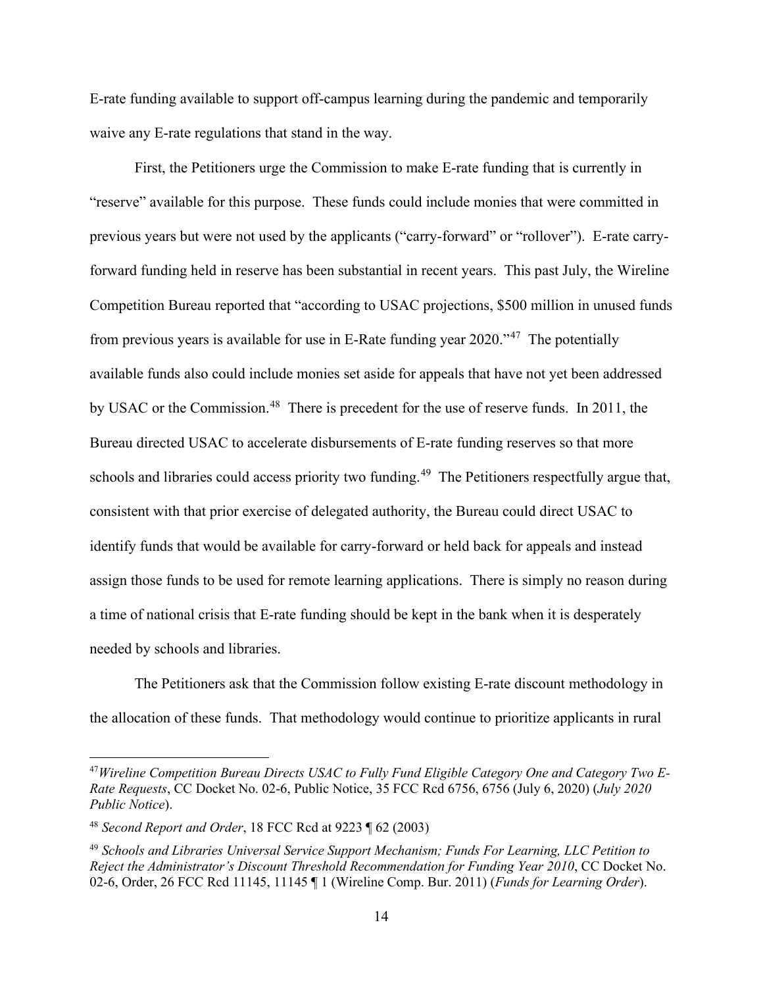E-rate funding available to support off-campus learning during the pandemic and temporarily waive any E-rate regulations that stand in the way.

First, the Petitioners urge the Commission to make E-rate funding that is currently in "reserve" available for this purpose. These funds could include monies that were committed in previous years but were not used by the applicants ("carry-forward" or "rollover"). E-rate carryforward funding held in reserve has been substantial in recent years. This past July, the Wireline Competition Bureau reported that "according to USAC projections, \$500 million in unused funds from previous years is available for use in E-Rate funding year  $2020$ .<sup> $47$ </sup> The potentially available funds also could include monies set aside for appeals that have not yet been addressed by USAC or the Commission.<sup>[48](#page-17-1)</sup> There is precedent for the use of reserve funds. In 2011, the Bureau directed USAC to accelerate disbursements of E-rate funding reserves so that more schools and libraries could access priority two funding.<sup>49</sup> The Petitioners respectfully argue that, consistent with that prior exercise of delegated authority, the Bureau could direct USAC to identify funds that would be available for carry-forward or held back for appeals and instead assign those funds to be used for remote learning applications. There is simply no reason during a time of national crisis that E-rate funding should be kept in the bank when it is desperately needed by schools and libraries.

The Petitioners ask that the Commission follow existing E-rate discount methodology in the allocation of these funds. That methodology would continue to prioritize applicants in rural

<span id="page-17-0"></span><sup>47</sup>*Wireline Competition Bureau Directs USAC to Fully Fund Eligible Category One and Category Two E-Rate Requests*, CC Docket No. 02-6, Public Notice, 35 FCC Rcd 6756, 6756 (July 6, 2020) (*July 2020 Public Notice*).

<span id="page-17-1"></span><sup>48</sup> *Second Report and Order*, 18 FCC Rcd at 9223 ¶ 62 (2003)

<span id="page-17-2"></span><sup>49</sup> *Schools and Libraries Universal Service Support Mechanism; Funds For Learning, LLC Petition to Reject the Administrator's Discount Threshold Recommendation for Funding Year 2010*, CC Docket No. 02-6, Order, 26 FCC Rcd 11145, 11145 ¶ 1 (Wireline Comp. Bur. 2011) (*Funds for Learning Order*).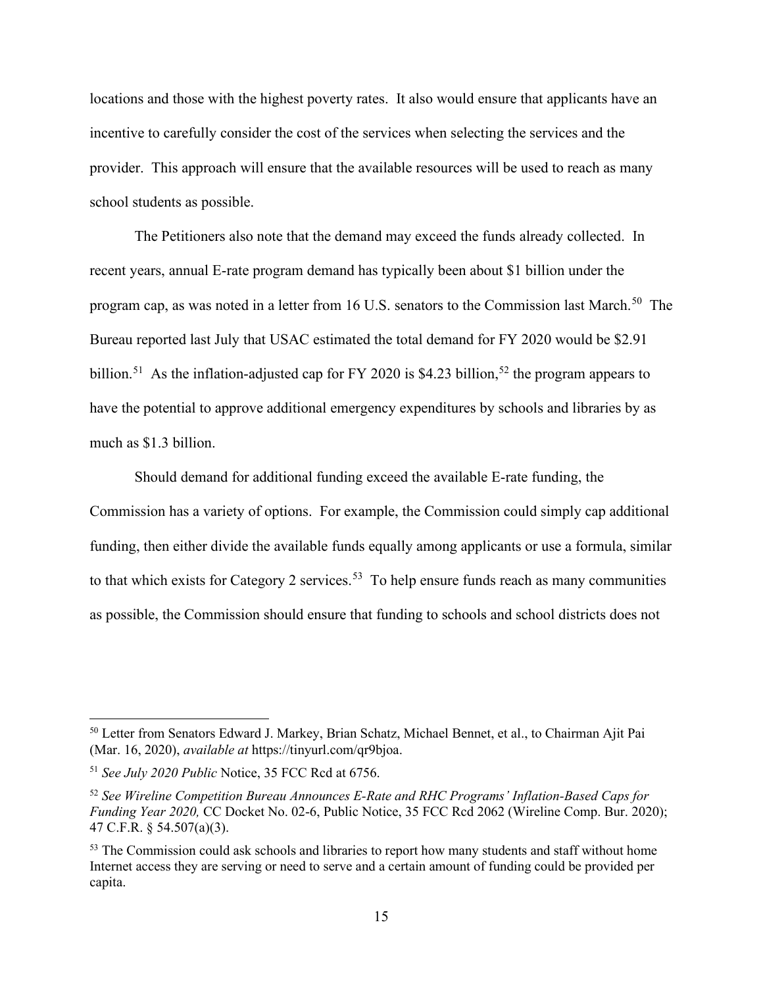locations and those with the highest poverty rates. It also would ensure that applicants have an incentive to carefully consider the cost of the services when selecting the services and the provider. This approach will ensure that the available resources will be used to reach as many school students as possible.

The Petitioners also note that the demand may exceed the funds already collected. In recent years, annual E-rate program demand has typically been about \$1 billion under the program cap, as was noted in a letter from 16 U.S. senators to the Commission last March.<sup>[50](#page-18-0)</sup> The Bureau reported last July that USAC estimated the total demand for FY 2020 would be \$2.91 billion.<sup>51</sup> As the inflation-adjusted cap for FY 2020 is \$4.23 billion,<sup>[52](#page-18-2)</sup> the program appears to have the potential to approve additional emergency expenditures by schools and libraries by as much as \$1.3 billion.

Should demand for additional funding exceed the available E-rate funding, the Commission has a variety of options. For example, the Commission could simply cap additional funding, then either divide the available funds equally among applicants or use a formula, similar to that which exists for Category 2 services.<sup>[53](#page-18-3)</sup> To help ensure funds reach as many communities as possible, the Commission should ensure that funding to schools and school districts does not

<span id="page-18-0"></span><sup>50</sup> Letter from Senators Edward J. Markey, Brian Schatz, Michael Bennet, et al., to Chairman Ajit Pai (Mar. 16, 2020), *available at* [https://tinyurl.com/qr9bjoa.](https://tinyurl.com/qr9bjoa)

<span id="page-18-1"></span><sup>51</sup> *See July 2020 Public* Notice, 35 FCC Rcd at 6756.

<span id="page-18-2"></span><sup>52</sup> *See Wireline Competition Bureau Announces E-Rate and RHC Programs' Inflation-Based Caps for Funding Year 2020,* CC Docket No. 02-6, Public Notice, 35 FCC Rcd 2062 (Wireline Comp. Bur. 2020); 47 C.F.R. § 54.507(a)(3).

<span id="page-18-3"></span><sup>&</sup>lt;sup>53</sup> The Commission could ask schools and libraries to report how many students and staff without home Internet access they are serving or need to serve and a certain amount of funding could be provided per capita.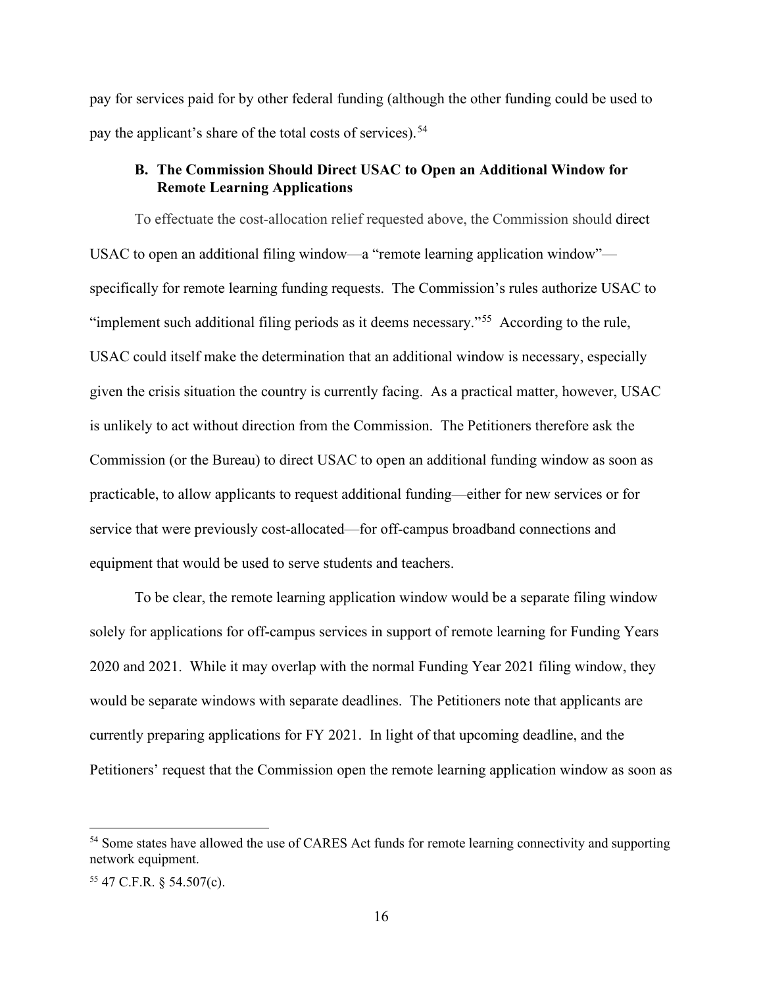pay for services paid for by other federal funding (although the other funding could be used to pay the applicant's share of the total costs of services).<sup>[54](#page-19-1)</sup>

## <span id="page-19-0"></span>**B. The Commission Should Direct USAC to Open an Additional Window for Remote Learning Applications**

To effectuate the cost-allocation relief requested above, the Commission should direct USAC to open an additional filing window—a "remote learning application window" specifically for remote learning funding requests. The Commission's rules authorize USAC to "implement such additional filing periods as it deems necessary."<sup>55</sup> According to the rule, USAC could itself make the determination that an additional window is necessary, especially given the crisis situation the country is currently facing. As a practical matter, however, USAC is unlikely to act without direction from the Commission. The Petitioners therefore ask the Commission (or the Bureau) to direct USAC to open an additional funding window as soon as practicable, to allow applicants to request additional funding—either for new services or for service that were previously cost-allocated—for off-campus broadband connections and equipment that would be used to serve students and teachers.

To be clear, the remote learning application window would be a separate filing window solely for applications for off-campus services in support of remote learning for Funding Years 2020 and 2021. While it may overlap with the normal Funding Year 2021 filing window, they would be separate windows with separate deadlines. The Petitioners note that applicants are currently preparing applications for FY 2021. In light of that upcoming deadline, and the Petitioners' request that the Commission open the remote learning application window as soon as

<span id="page-19-1"></span><sup>&</sup>lt;sup>54</sup> Some states have allowed the use of CARES Act funds for remote learning connectivity and supporting network equipment.

<span id="page-19-2"></span><sup>55</sup> 47 C.F.R. § 54.507(c).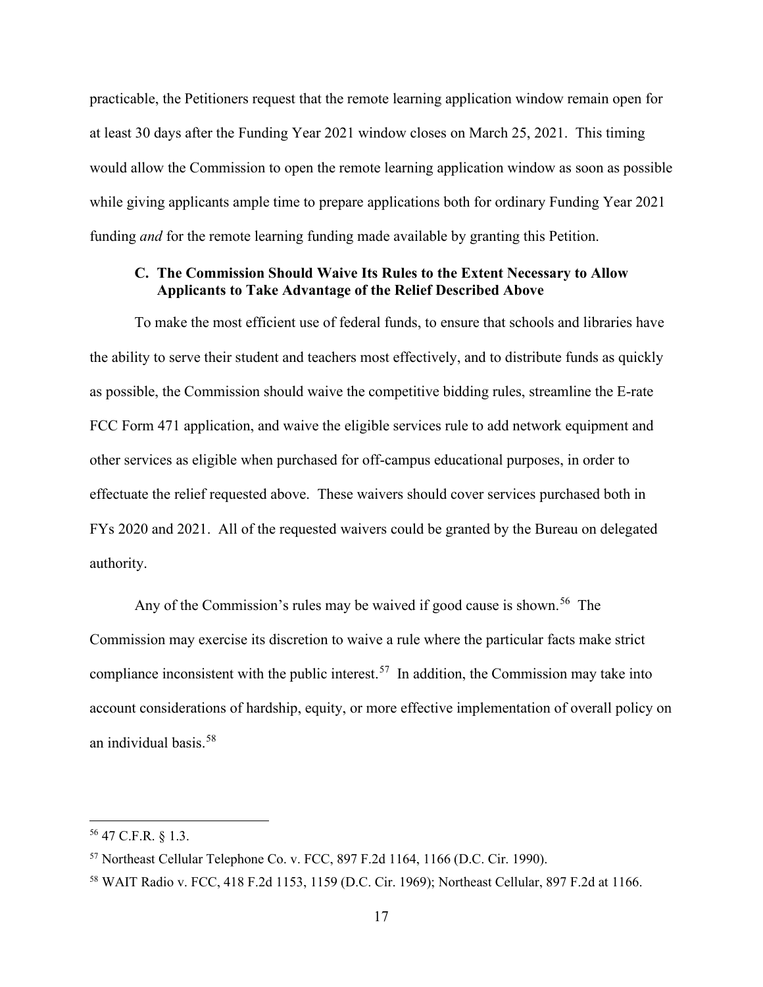practicable, the Petitioners request that the remote learning application window remain open for at least 30 days after the Funding Year 2021 window closes on March 25, 2021. This timing would allow the Commission to open the remote learning application window as soon as possible while giving applicants ample time to prepare applications both for ordinary Funding Year 2021 funding *and* for the remote learning funding made available by granting this Petition.

### <span id="page-20-0"></span>**C. The Commission Should Waive Its Rules to the Extent Necessary to Allow Applicants to Take Advantage of the Relief Described Above**

To make the most efficient use of federal funds, to ensure that schools and libraries have the ability to serve their student and teachers most effectively, and to distribute funds as quickly as possible, the Commission should waive the competitive bidding rules, streamline the E-rate FCC Form 471 application, and waive the eligible services rule to add network equipment and other services as eligible when purchased for off-campus educational purposes, in order to effectuate the relief requested above. These waivers should cover services purchased both in FYs 2020 and 2021. All of the requested waivers could be granted by the Bureau on delegated authority.

Any of the Commission's rules may be waived if good cause is shown.<sup>56</sup> The Commission may exercise its discretion to waive a rule where the particular facts make strict compliance inconsistent with the public interest.<sup>57</sup> In addition, the Commission may take into account considerations of hardship, equity, or more effective implementation of overall policy on an individual basis.[58](#page-20-3)

<span id="page-20-1"></span><sup>56</sup> 47 C.F.R. § 1.3.

<span id="page-20-2"></span><sup>57</sup> Northeast Cellular Telephone Co. v. FCC, 897 F.2d 1164, 1166 (D.C. Cir. 1990).

<span id="page-20-3"></span><sup>58</sup> WAIT Radio v. FCC, 418 F.2d 1153, 1159 (D.C. Cir. 1969); Northeast Cellular, 897 F.2d at 1166.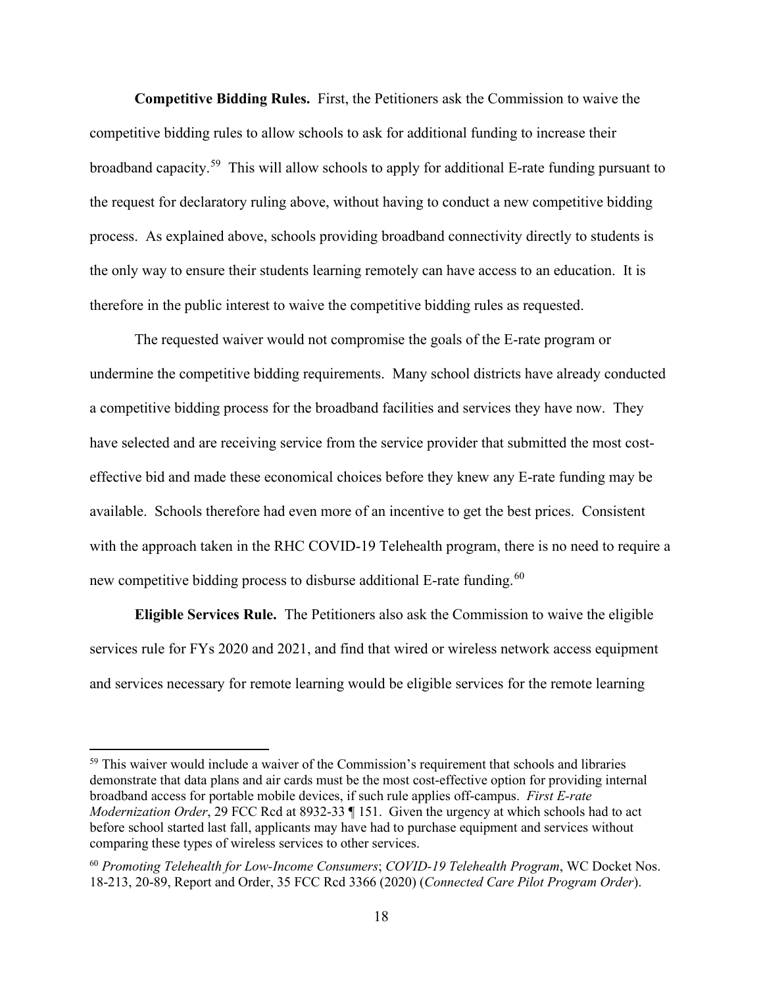**Competitive Bidding Rules.** First, the Petitioners ask the Commission to waive the competitive bidding rules to allow schools to ask for additional funding to increase their broadband capacity.[59](#page-21-0) This will allow schools to apply for additional E-rate funding pursuant to the request for declaratory ruling above, without having to conduct a new competitive bidding process. As explained above, schools providing broadband connectivity directly to students is the only way to ensure their students learning remotely can have access to an education. It is therefore in the public interest to waive the competitive bidding rules as requested.

The requested waiver would not compromise the goals of the E-rate program or undermine the competitive bidding requirements. Many school districts have already conducted a competitive bidding process for the broadband facilities and services they have now. They have selected and are receiving service from the service provider that submitted the most costeffective bid and made these economical choices before they knew any E-rate funding may be available. Schools therefore had even more of an incentive to get the best prices. Consistent with the approach taken in the RHC COVID-19 Telehealth program, there is no need to require a new competitive bidding process to disburse additional E-rate funding.<sup>60</sup>

**Eligible Services Rule.** The Petitioners also ask the Commission to waive the eligible services rule for FYs 2020 and 2021, and find that wired or wireless network access equipment and services necessary for remote learning would be eligible services for the remote learning

<span id="page-21-0"></span><sup>&</sup>lt;sup>59</sup> This waiver would include a waiver of the Commission's requirement that schools and libraries demonstrate that data plans and air cards must be the most cost-effective option for providing internal broadband access for portable mobile devices, if such rule applies off-campus. *First E-rate Modernization Order*, 29 FCC Rcd at 8932-33 ¶ 151. Given the urgency at which schools had to act before school started last fall, applicants may have had to purchase equipment and services without comparing these types of wireless services to other services.

<span id="page-21-1"></span><sup>60</sup> *Promoting Telehealth for Low-Income Consumers*; *COVID-19 Telehealth Program*, WC Docket Nos. 18-213, 20-89, Report and Order, 35 FCC Rcd 3366 (2020) (*Connected Care Pilot Program Order*).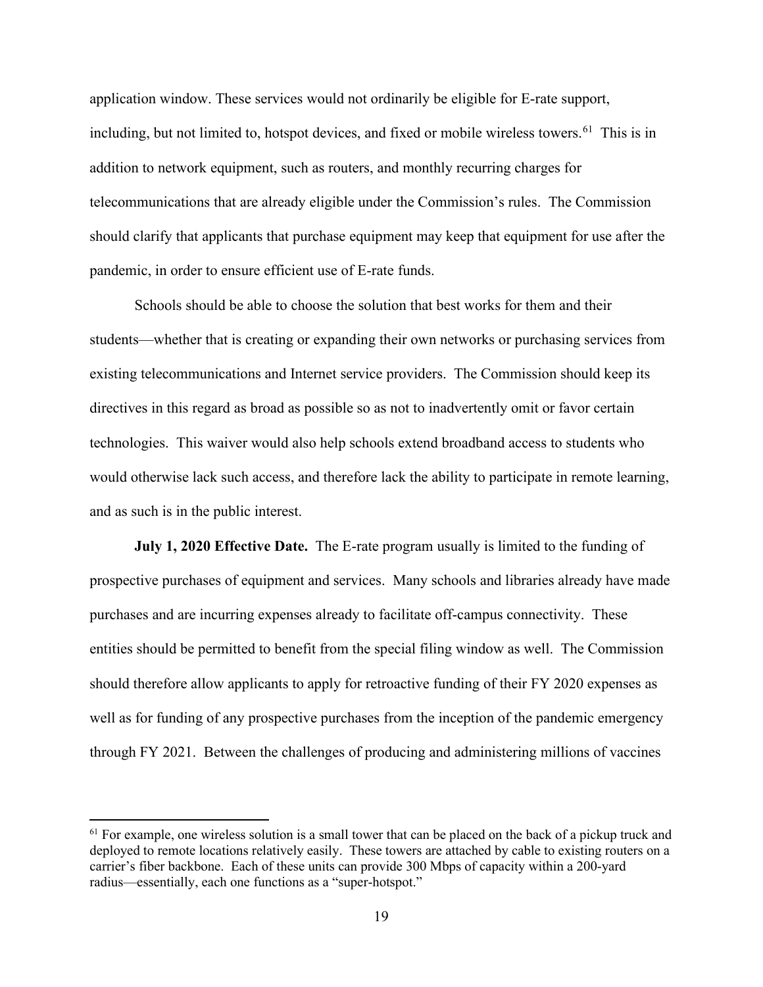application window. These services would not ordinarily be eligible for E-rate support, including, but not limited to, hotspot devices, and fixed or mobile wireless towers. [61](#page-22-0) This is in addition to network equipment, such as routers, and monthly recurring charges for telecommunications that are already eligible under the Commission's rules. The Commission should clarify that applicants that purchase equipment may keep that equipment for use after the pandemic, in order to ensure efficient use of E-rate funds.

Schools should be able to choose the solution that best works for them and their students—whether that is creating or expanding their own networks or purchasing services from existing telecommunications and Internet service providers. The Commission should keep its directives in this regard as broad as possible so as not to inadvertently omit or favor certain technologies. This waiver would also help schools extend broadband access to students who would otherwise lack such access, and therefore lack the ability to participate in remote learning, and as such is in the public interest.

**July 1, 2020 Effective Date.** The E-rate program usually is limited to the funding of prospective purchases of equipment and services. Many schools and libraries already have made purchases and are incurring expenses already to facilitate off-campus connectivity. These entities should be permitted to benefit from the special filing window as well. The Commission should therefore allow applicants to apply for retroactive funding of their FY 2020 expenses as well as for funding of any prospective purchases from the inception of the pandemic emergency through FY 2021. Between the challenges of producing and administering millions of vaccines

<span id="page-22-0"></span> $<sup>61</sup>$  For example, one wireless solution is a small tower that can be placed on the back of a pickup truck and</sup> deployed to remote locations relatively easily. These towers are attached by cable to existing routers on a carrier's fiber backbone. Each of these units can provide 300 Mbps of capacity within a 200-yard radius—essentially, each one functions as a "super-hotspot."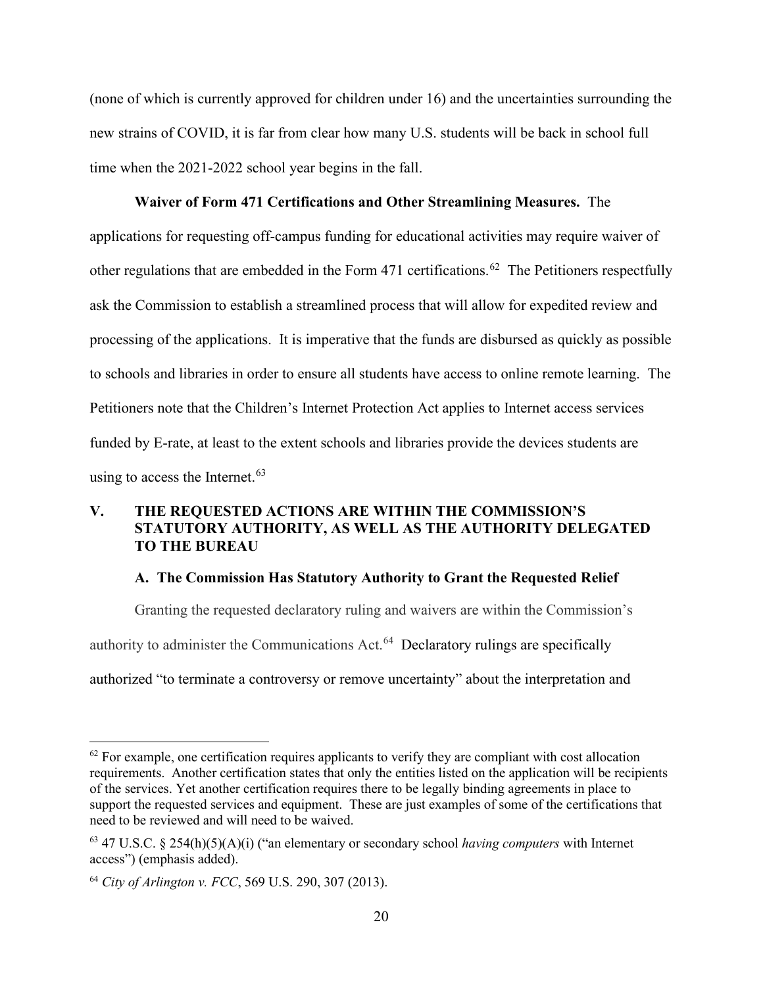(none of which is currently approved for children under 16) and the uncertainties surrounding the new strains of COVID, it is far from clear how many U.S. students will be back in school full time when the 2021-2022 school year begins in the fall.

#### **Waiver of Form 471 Certifications and Other Streamlining Measures.** The

applications for requesting off-campus funding for educational activities may require waiver of other regulations that are embedded in the Form 471 certifications.<sup>[62](#page-23-2)</sup> The Petitioners respectfully ask the Commission to establish a streamlined process that will allow for expedited review and processing of the applications. It is imperative that the funds are disbursed as quickly as possible to schools and libraries in order to ensure all students have access to online remote learning. The Petitioners note that the Children's Internet Protection Act applies to Internet access services funded by E-rate, at least to the extent schools and libraries provide the devices students are using to access the Internet.  $63$ 

## <span id="page-23-0"></span>**V. THE REQUESTED ACTIONS ARE WITHIN THE COMMISSION'S STATUTORY AUTHORITY, AS WELL AS THE AUTHORITY DELEGATED TO THE BUREAU**

#### **A. The Commission Has Statutory Authority to Grant the Requested Relief**

<span id="page-23-1"></span>Granting the requested declaratory ruling and waivers are within the Commission's authority to administer the Communications Act.[64](#page-23-4) Declaratory rulings are specifically authorized "to terminate a controversy or remove uncertainty" about the interpretation and

<span id="page-23-2"></span> $62$  For example, one certification requires applicants to verify they are compliant with cost allocation requirements. Another certification states that only the entities listed on the application will be recipients of the services. Yet another certification requires there to be legally binding agreements in place to support the requested services and equipment. These are just examples of some of the certifications that need to be reviewed and will need to be waived.

<span id="page-23-3"></span><sup>63</sup> 47 U.S.C. § 254(h)(5)(A)(i) ("an elementary or secondary school *having computers* with Internet access") (emphasis added).

<span id="page-23-4"></span><sup>64</sup> *City of Arlington v. FCC*, 569 U.S. 290, 307 (2013).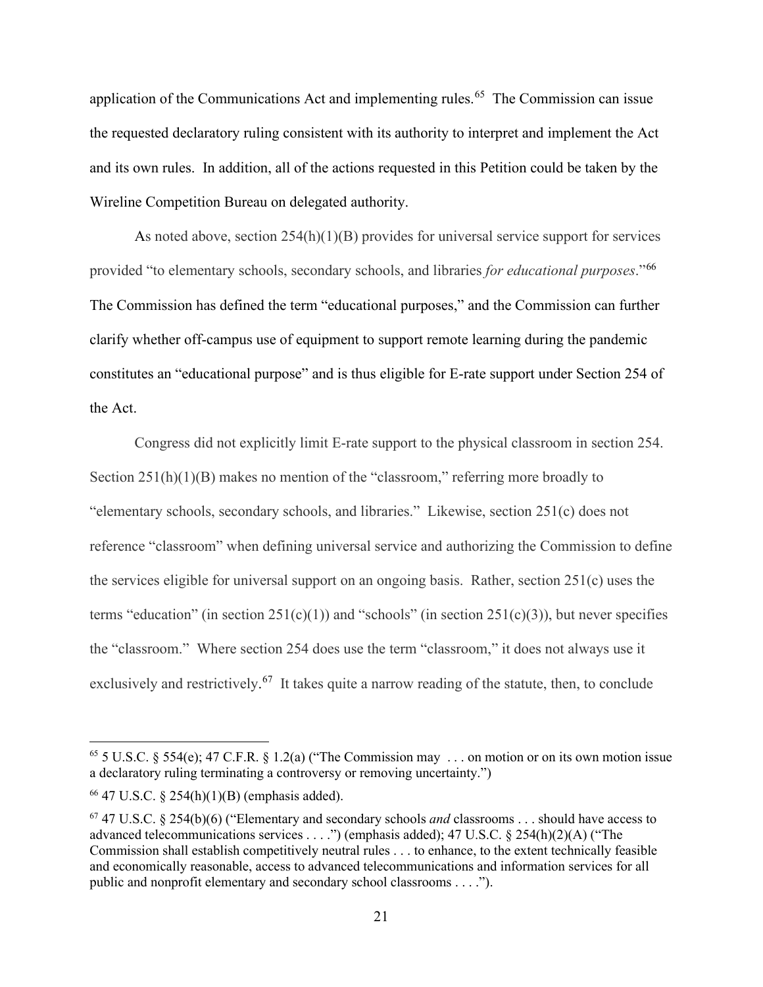application of the Communications Act and implementing rules.<sup>[65](#page-24-0)</sup> The Commission can issue the requested declaratory ruling consistent with its authority to interpret and implement the Act and its own rules. In addition, all of the actions requested in this Petition could be taken by the Wireline Competition Bureau on delegated authority.

As noted above, section 254(h)(1)(B) provides for universal service support for services provided "to elementary schools, secondary schools, and libraries *for educational purposes*."[66](#page-24-1)  The Commission has defined the term "educational purposes," and the Commission can further clarify whether off-campus use of equipment to support remote learning during the pandemic constitutes an "educational purpose" and is thus eligible for E-rate support under Section 254 of the Act.

Congress did not explicitly limit E-rate support to the physical classroom in section 254. Section  $251(h)(1)(B)$  makes no mention of the "classroom," referring more broadly to "elementary schools, secondary schools, and libraries." Likewise, section 251(c) does not reference "classroom" when defining universal service and authorizing the Commission to define the services eligible for universal support on an ongoing basis. Rather, section 251(c) uses the terms "education" (in section  $251(c)(1)$ ) and "schools" (in section  $251(c)(3)$ ), but never specifies the "classroom." Where section 254 does use the term "classroom," it does not always use it exclusively and restrictively.<sup>67</sup> It takes quite a narrow reading of the statute, then, to conclude

<span id="page-24-0"></span><sup>&</sup>lt;sup>65</sup> 5 U.S.C. § 554(e); 47 C.F.R. § 1.2(a) ("The Commission may ... on motion or on its own motion issue a declaratory ruling terminating a controversy or removing uncertainty.")

<span id="page-24-1"></span><sup>66</sup> 47 U.S.C. § 254(h)(1)(B) (emphasis added).

<span id="page-24-2"></span><sup>67</sup> 47 U.S.C. § 254(b)(6) ("Elementary and secondary schools *and* classrooms . . . should have access to advanced telecommunications services . . . .") (emphasis added); 47 U.S.C. § 254(h)(2)(A) ("The Commission shall establish competitively neutral rules . . . to enhance, to the extent technically feasible and economically reasonable, access to advanced [telecommunications](https://www.law.cornell.edu/definitions/uscode.php?width=840&height=800&iframe=true&def_id=47-USC-155762055-1952898747&term_occur=999&term_src=title:47:chapter:5:subchapter:II:part:II:section:254) and [information services](https://www.law.cornell.edu/definitions/uscode.php?width=840&height=800&iframe=true&def_id=47-USC-197268543-1952898658&term_occur=999&term_src=title:47:chapter:5:subchapter:II:part:II:section:254) for all public and nonprofit elementary and secondary school classrooms . . . .").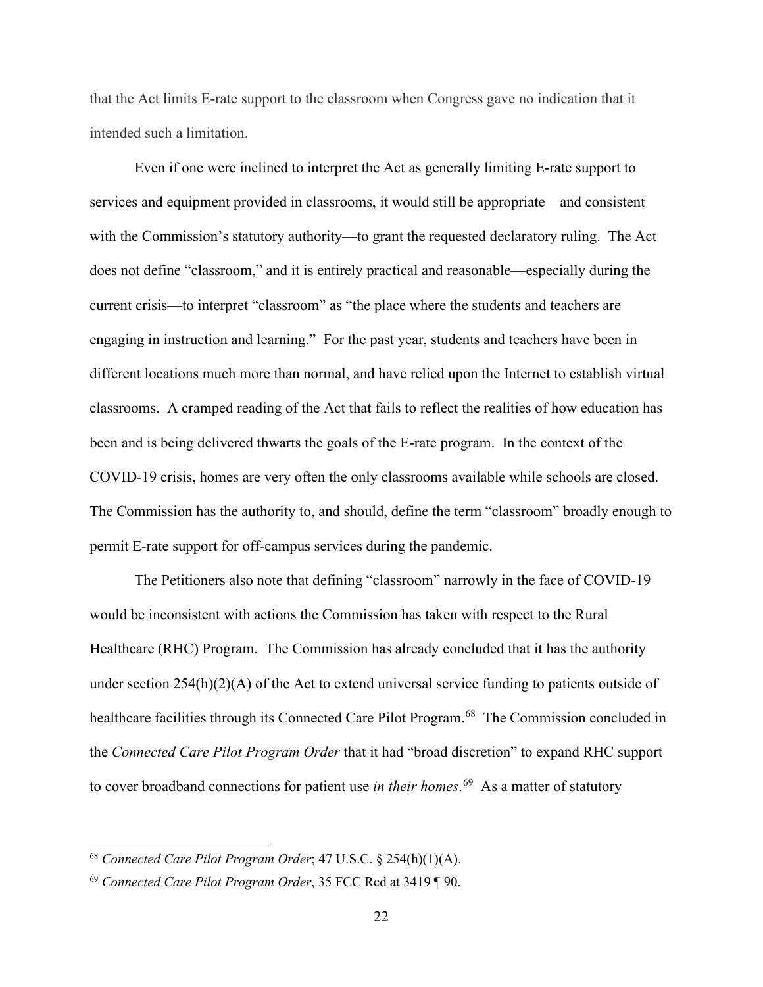that the Act limits E-rate support to the classroom when Congress gave no indication that it intended such a limitation.

Even if one were inclined to interpret the Act as generally limiting E-rate support to services and equipment provided in classrooms, it would still be appropriate—and consistent with the Commission's statutory authority—to grant the requested declaratory ruling. The Act does not define "classroom," and it is entirely practical and reasonable—especially during the current crisis—to interpret "classroom" as "the place where the students and teachers are engaging in instruction and learning." For the past year, students and teachers have been in different locations much more than normal, and have relied upon the Internet to establish virtual classrooms. A cramped reading of the Act that fails to reflect the realities of how education has been and is being delivered thwarts the goals of the E-rate program. In the context of the COVID-19 crisis, homes are very often the only classrooms available while schools are closed. The Commission has the authority to, and should, define the term "classroom" broadly enough to permit E-rate support for off-campus services during the pandemic.

The Petitioners also note that defining "classroom" narrowly in the face of COVID-19 would be inconsistent with actions the Commission has taken with respect to the Rural Healthcare (RHC) Program. The Commission has already concluded that it has the authority under section 254(h)(2)(A) of the Act to extend universal service funding to patients outside of healthcare facilities through its Connected Care Pilot Program.<sup>68</sup> The Commission concluded in the *Connected Care Pilot Program Order* that it had "broad discretion" to expand RHC support to cover broadband connections for patient use *in their homes*. [69](#page-25-1) As a matter of statutory

<span id="page-25-0"></span><sup>68</sup> *Connected Care Pilot Program Order*; 47 U.S.C. § 254(h)(1)(A).

<span id="page-25-1"></span><sup>69</sup> *Connected Care Pilot Program Order*, 35 FCC Rcd at 3419 ¶ 90.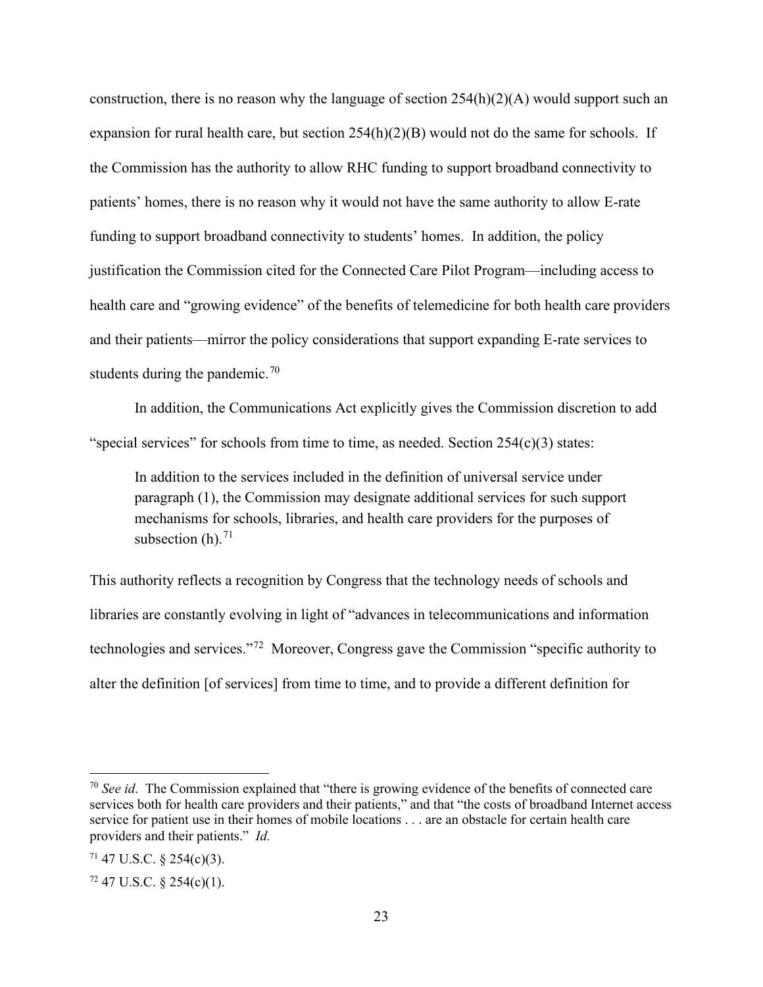construction, there is no reason why the language of section  $254(h)(2)(A)$  would support such an expansion for rural health care, but section  $254(h)(2)(B)$  would not do the same for schools. If the Commission has the authority to allow RHC funding to support broadband connectivity to patients' homes, there is no reason why it would not have the same authority to allow E-rate funding to support broadband connectivity to students' homes. In addition, the policy justification the Commission cited for the Connected Care Pilot Program—including access to health care and "growing evidence" of the benefits of telemedicine for both health care providers and their patients—mirror the policy considerations that support expanding E-rate services to students during the pandemic.<sup>[70](#page-26-0)</sup>

In addition, the Communications Act explicitly gives the Commission discretion to add "special services" for schools from time to time, as needed. Section  $254(c)(3)$  states:

In addition to the services included in the definition of universal service under paragraph (1), the Commission may designate additional services for such support mechanisms for schools, libraries, and health care providers for the purposes of subsection  $(h)$ .<sup>[71](#page-26-1)</sup>

This authority reflects a recognition by Congress that the technology needs of schools and libraries are constantly evolving in light of "advances in telecommunications and information technologies and services."[72](#page-26-2) Moreover, Congress gave the Commission "specific authority to alter the definition [of services] from time to time, and to provide a different definition for

<span id="page-26-0"></span><sup>70</sup> *See id*. The Commission explained that "there is growing evidence of the benefits of connected care services both for health care providers and their patients," and that "the costs of broadband Internet access service for patient use in their homes of mobile locations . . . are an obstacle for certain health care providers and their patients." *Id.*

<span id="page-26-1"></span> $71$  47 U.S.C. § 254(c)(3).

<span id="page-26-2"></span> $72$  47 U.S.C. § 254(c)(1).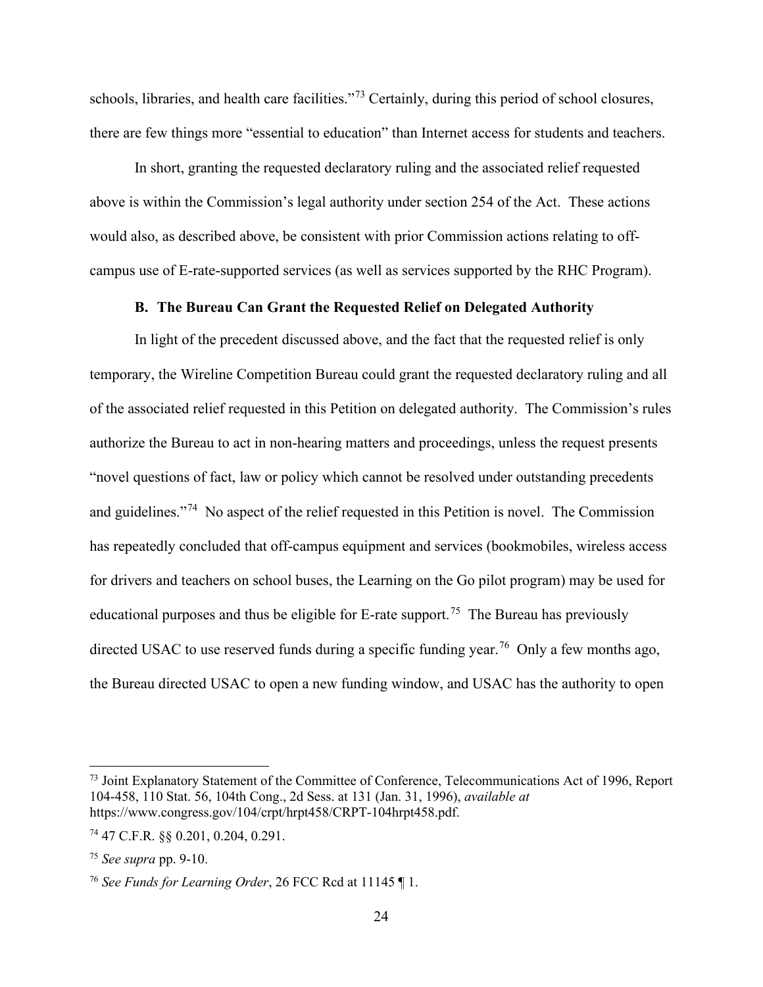schools, libraries, and health care facilities."<sup>[73](#page-27-1)</sup> Certainly, during this period of school closures, there are few things more "essential to education" than Internet access for students and teachers.

In short, granting the requested declaratory ruling and the associated relief requested above is within the Commission's legal authority under section 254 of the Act. These actions would also, as described above, be consistent with prior Commission actions relating to offcampus use of E-rate-supported services (as well as services supported by the RHC Program).

## **B. The Bureau Can Grant the Requested Relief on Delegated Authority**

<span id="page-27-0"></span>In light of the precedent discussed above, and the fact that the requested relief is only temporary, the Wireline Competition Bureau could grant the requested declaratory ruling and all of the associated relief requested in this Petition on delegated authority. The Commission's rules authorize the Bureau to act in non-hearing matters and proceedings, unless the request presents "novel questions of fact, law or policy which cannot be resolved under outstanding precedents and guidelines."<sup>[74](#page-27-2)</sup> No aspect of the relief requested in this Petition is novel. The Commission has repeatedly concluded that off-campus equipment and services (bookmobiles, wireless access for drivers and teachers on school buses, the Learning on the Go pilot program) may be used for educational purposes and thus be eligible for E-rate support.<sup>75</sup> The Bureau has previously directed USAC to use reserved funds during a specific funding year.<sup>76</sup> Only a few months ago, the Bureau directed USAC to open a new funding window, and USAC has the authority to open

<span id="page-27-1"></span><sup>&</sup>lt;sup>73</sup> Joint Explanatory Statement of the Committee of Conference, Telecommunications Act of 1996, Report 104-458, 110 Stat. 56, 104th Cong., 2d Sess. at 131 (Jan. 31, 1996), *available at* [https://www.congress.gov/104/crpt/hrpt458/CRPT-104hrpt458.pdf.](https://www.congress.gov/104/crpt/hrpt458/CRPT-104hrpt458.pdf)

<span id="page-27-2"></span><sup>74</sup> 47 C.F.R. §§ 0.201, 0.204, 0.291.

<span id="page-27-3"></span><sup>75</sup> *See supra* pp. 9-10.

<span id="page-27-4"></span><sup>76</sup> *See Funds for Learning Order*, 26 FCC Rcd at 11145 ¶ 1.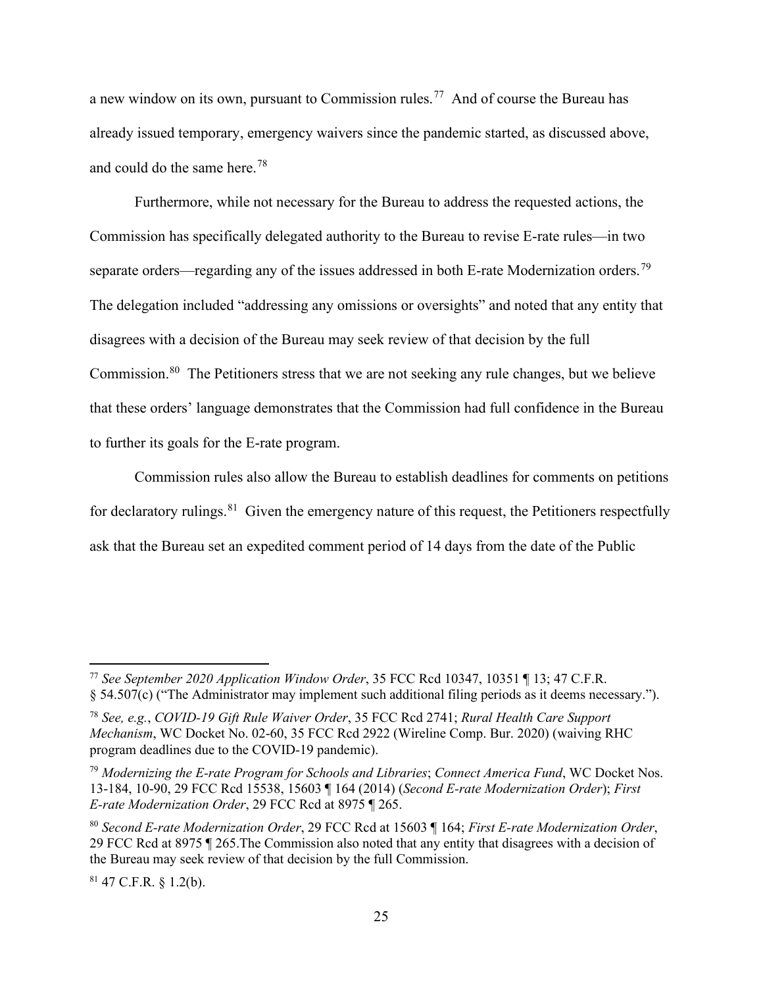a new window on its own, pursuant to Commission rules.[77](#page-28-0) And of course the Bureau has already issued temporary, emergency waivers since the pandemic started, as discussed above, and could do the same here.[78](#page-28-1) 

Furthermore, while not necessary for the Bureau to address the requested actions, the Commission has specifically delegated authority to the Bureau to revise E-rate rules—in two separate orders—regarding any of the issues addressed in both E-rate Modernization orders.<sup>79</sup> The delegation included "addressing any omissions or oversights" and noted that any entity that disagrees with a decision of the Bureau may seek review of that decision by the full Commission.<sup>[80](#page-28-3)</sup> The Petitioners stress that we are not seeking any rule changes, but we believe that these orders' language demonstrates that the Commission had full confidence in the Bureau to further its goals for the E-rate program.

Commission rules also allow the Bureau to establish deadlines for comments on petitions for declaratory rulings.  $81$  Given the emergency nature of this request, the Petitioners respectfully ask that the Bureau set an expedited comment period of 14 days from the date of the Public

<span id="page-28-4"></span> $81$  47 C.F.R. § 1.2(b).

<span id="page-28-0"></span><sup>77</sup> *See September 2020 Application Window Order*, 35 FCC Rcd 10347, 10351 ¶ 13; 47 C.F.R. § 54.507(c) ("The Administrator may implement such additional filing periods as it deems necessary.").

<span id="page-28-1"></span><sup>78</sup> *See, e.g.*, *COVID-19 Gift Rule Waiver Order*, 35 FCC Rcd 2741; *Rural Health Care Support Mechanism*, WC Docket No. 02-60, 35 FCC Rcd 2922 (Wireline Comp. Bur. 2020) (waiving RHC program deadlines due to the COVID-19 pandemic).

<span id="page-28-2"></span><sup>79</sup> *Modernizing the E-rate Program for Schools and Libraries*; *Connect America Fund*, WC Docket Nos. 13-184, 10-90, 29 FCC Rcd 15538, 15603 ¶ 164 (2014) (*Second E-rate Modernization Order*); *First E-rate Modernization Order*, 29 FCC Rcd at 8975 ¶ 265.

<span id="page-28-3"></span><sup>80</sup> *Second E-rate Modernization Order*, 29 FCC Rcd at 15603 ¶ 164; *First E-rate Modernization Order*, 29 FCC Rcd at 8975 ¶ 265.The Commission also noted that any entity that disagrees with a decision of the Bureau may seek review of that decision by the full Commission.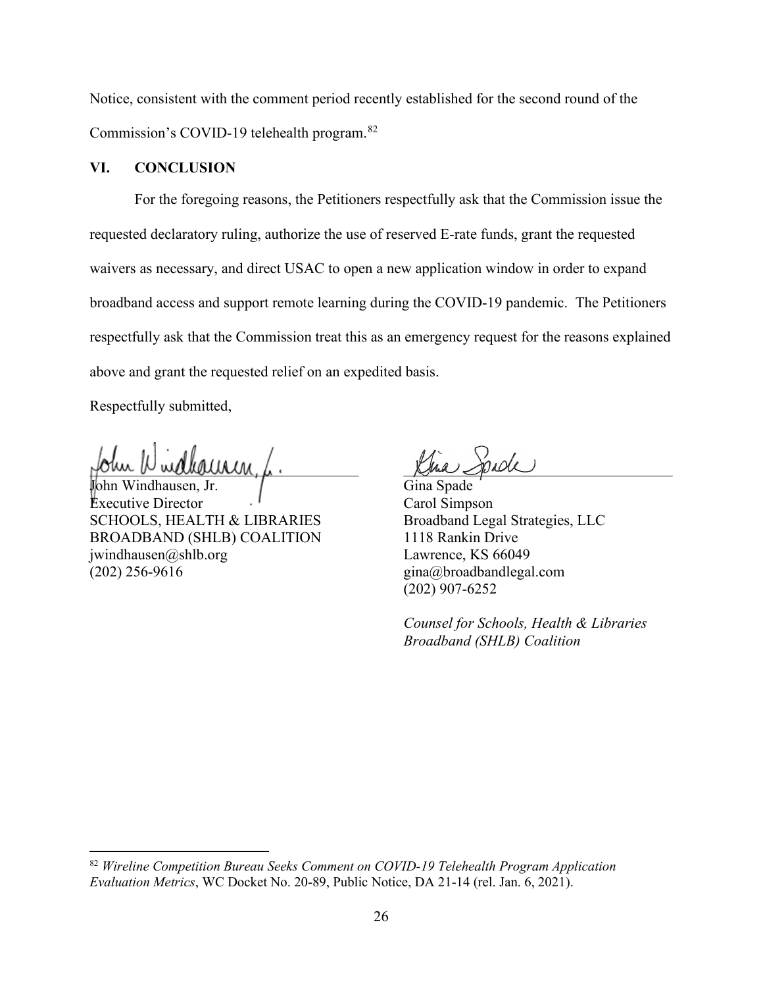Notice, consistent with the comment period recently established for the second round of the Commission's COVID-19 telehealth program.[82](#page-29-1)

## <span id="page-29-0"></span>**VI. CONCLUSION**

For the foregoing reasons, the Petitioners respectfully ask that the Commission issue the requested declaratory ruling, authorize the use of reserved E-rate funds, grant the requested waivers as necessary, and direct USAC to open a new application window in order to expand broadband access and support remote learning during the COVID-19 pandemic. The Petitioners respectfully ask that the Commission treat this as an emergency request for the reasons explained above and grant the requested relief on an expedited basis.

Respectfully submitted,

fohn Windhauren, f.

John Windhausen, Jr. Executive Director SCHOOLS, HEALTH & LIBRARIES BROADBAND (SHLB) COALITION jwindhausen@shlb.org (202) 256-9616

Kina Spade

Gina Spade Carol Simpson Broadband Legal Strategies, LLC 1118 Rankin Drive Lawrence, KS 66049 gina@broadbandlegal.com (202) 907-6252

*Counsel for Schools, Health & Libraries Broadband (SHLB) Coalition*

<span id="page-29-1"></span><sup>82</sup> *Wireline Competition Bureau Seeks Comment on COVID-19 Telehealth Program Application Evaluation Metrics*, WC Docket No. 20-89, Public Notice, DA 21-14 (rel. Jan. 6, 2021).